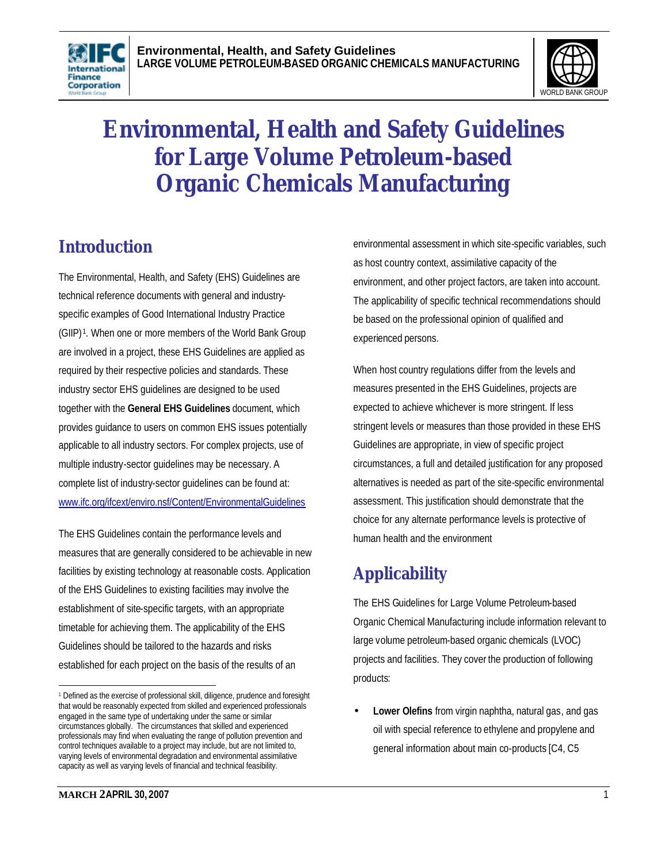



# **Environmental, Health and Safety Guidelines for Large Volume Petroleum-based Organic Chemicals Manufacturing**

# **Introduction**

The Environmental, Health, and Safety (EHS) Guidelines are technical reference documents with general and industryspecific examples of Good International Industry Practice (GIIP) <sup>1</sup> . When one or more members of the World Bank Group are involved in a project, these EHS Guidelines are applied as required by their respective policies and standards. These industry sector EHS guidelines are designed to be used together with the **General EHS Guidelines** document, which provides guidance to users on common EHS issues potentially applicable to all industry sectors. For complex projects, use of multiple industry-sector guidelines may be necessary. A complete list of industry-sector guidelines can be found at: www.ifc.org/ifcext/enviro.nsf/Content/EnvironmentalGuidelines

The EHS Guidelines contain the performance levels and measures that are generally considered to be achievable in new facilities by existing technology at reasonable costs. Application of the EHS Guidelines to existing facilities may involve the establishment of site-specific targets, with an appropriate timetable for achieving them. The applicability of the EHS Guidelines should be tailored to the hazards and risks established for each project on the basis of the results of an

environmental assessment in which site-specific variables, such as host country context, assimilative capacity of the environment, and other project factors, are taken into account. The applicability of specific technical recommendations should be based on the professional opinion of qualified and experienced persons.

When host country regulations differ from the levels and measures presented in the EHS Guidelines, projects are expected to achieve whichever is more stringent. If less stringent levels or measures than those provided in these EHS Guidelines are appropriate, in view of specific project circumstances, a full and detailed justification for any proposed alternatives is needed as part of the site-specific environmental assessment. This justification should demonstrate that the choice for any alternate performance levels is protective of human health and the environment

# **Applicability**

The EHS Guidelines for Large Volume Petroleum-based Organic Chemical Manufacturing include information relevant to large volume petroleum-based organic chemicals (LVOC) projects and facilities. They cover the production of following products:

• **Lower Olefins** from virgin naphtha, natural gas, and gas oil with special reference to ethylene and propylene and general information about main co-products [C4, C5

 $\overline{a}$ 1 Defined as the exercise of professional skill, diligence, prudence and foresight that would be reasonably expected from skilled and experienced professionals engaged in the same type of undertaking under the same or similar circumstances globally. The circumstances that skilled and experienced professionals may find when evaluating the range of pollution prevention and control techniques available to a project may include, but are not limited to, varying levels of environmental degradation and environmental assimilative capacity as well as varying levels of financial and technical feasibility.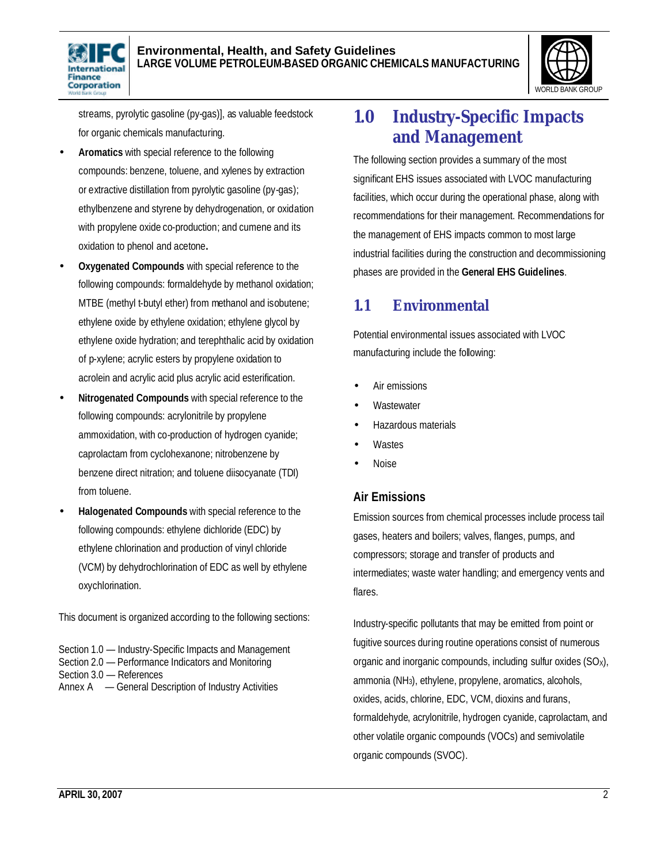



streams, pyrolytic gasoline (py-gas)], as valuable feedstock for organic chemicals manufacturing.

- **Aromatics** with special reference to the following compounds: benzene, toluene, and xylenes by extraction or extractive distillation from pyrolytic gasoline (py-gas); ethylbenzene and styrene by dehydrogenation, or oxidation with propylene oxide co-production; and cumene and its oxidation to phenol and acetone**.**
- **Oxygenated Compounds** with special reference to the following compounds: formaldehyde by methanol oxidation; MTBE (methyl t-butyl ether) from methanol and isobutene; ethylene oxide by ethylene oxidation; ethylene glycol by ethylene oxide hydration; and terephthalic acid by oxidation of p-xylene; acrylic esters by propylene oxidation to acrolein and acrylic acid plus acrylic acid esterification.
- **Nitrogenated Compounds** with special reference to the following compounds: acrylonitrile by propylene ammoxidation, with co-production of hydrogen cyanide; caprolactam from cyclohexanone; nitrobenzene by benzene direct nitration; and toluene diisocyanate (TDI) from toluene.
- **Halogenated Compounds** with special reference to the following compounds: ethylene dichloride (EDC) by ethylene chlorination and production of vinyl chloride (VCM) by dehydrochlorination of EDC as well by ethylene oxychlorination.

This document is organized according to the following sections:

Section 1.0 — Industry-Specific Impacts and Management

Section 2.0 — Performance Indicators and Monitoring

Section 3.0 — References

Annex A — General Description of Industry Activities

# **1.0 Industry-Specific Impacts and Management**

The following section provides a summary of the most significant EHS issues associated with LVOC manufacturing facilities, which occur during the operational phase, along with recommendations for their management. Recommendations for the management of EHS impacts common to most large industrial facilities during the construction and decommissioning phases are provided in the **General EHS Guidelines**.

# **1.1 Environmental**

Potential environmental issues associated with LVOC manufacturing include the following:

- Air emissions
- **Wastewater**
- Hazardous materials
- **Wastes**
- Noise

# **Air Emissions**

Emission sources from chemical processes include process tail gases, heaters and boilers; valves, flanges, pumps, and compressors; storage and transfer of products and intermediates; waste water handling; and emergency vents and flares.

Industry-specific pollutants that may be emitted from point or fugitive sources during routine operations consist of numerous organic and inorganic compounds, including sulfur oxides (SOX), ammonia (NH3), ethylene, propylene, aromatics, alcohols, oxides, acids, chlorine, EDC, VCM, dioxins and furans, formaldehyde, acrylonitrile, hydrogen cyanide, caprolactam, and other volatile organic compounds (VOCs) and semivolatile organic compounds (SVOC).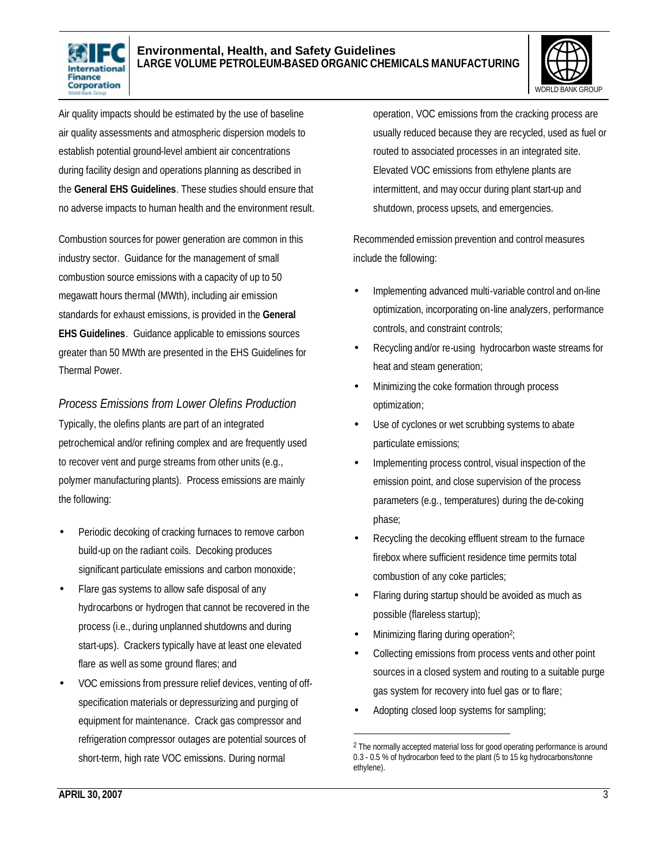



Air quality impacts should be estimated by the use of baseline air quality assessments and atmospheric dispersion models to establish potential ground-level ambient air concentrations during facility design and operations planning as described in the **General EHS Guidelines**. These studies should ensure that no adverse impacts to human health and the environment result.

Combustion sources for power generation are common in this industry sector. Guidance for the management of small combustion source emissions with a capacity of up to 50 megawatt hours thermal (MWth), including air emission standards for exhaust emissions, is provided in the **General EHS Guidelines**. Guidance applicable to emissions sources greater than 50 MWth are presented in the EHS Guidelines for Thermal Power.

### *Process Emissions from Lower Olefins Production*

Typically, the olefins plants are part of an integrated petrochemical and/or refining complex and are frequently used to recover vent and purge streams from other units (e.g., polymer manufacturing plants). Process emissions are mainly the following:

- Periodic decoking of cracking furnaces to remove carbon build-up on the radiant coils. Decoking produces significant particulate emissions and carbon monoxide;
- Flare gas systems to allow safe disposal of any hydrocarbons or hydrogen that cannot be recovered in the process (i.e., during unplanned shutdowns and during start-ups). Crackers typically have at least one elevated flare as well as some ground flares; and
- VOC emissions from pressure relief devices, venting of offspecification materials or depressurizing and purging of equipment for maintenance. Crack gas compressor and refrigeration compressor outages are potential sources of short-term, high rate VOC emissions. During normal

operation, VOC emissions from the cracking process are usually reduced because they are recycled, used as fuel or routed to associated processes in an integrated site. Elevated VOC emissions from ethylene plants are intermittent, and may occur during plant start-up and shutdown, process upsets, and emergencies.

Recommended emission prevention and control measures include the following:

- Implementing advanced multi-variable control and on-line optimization, incorporating on-line analyzers, performance controls, and constraint controls;
- Recycling and/or re-using hydrocarbon waste streams for heat and steam generation;
- Minimizing the coke formation through process optimization;
- Use of cyclones or wet scrubbing systems to abate particulate emissions;
- Implementing process control, visual inspection of the emission point, and close supervision of the process parameters (e.g., temperatures) during the de-coking phase;
- Recycling the decoking effluent stream to the furnace firebox where sufficient residence time permits total combustion of any coke particles;
- Flaring during startup should be avoided as much as possible (flareless startup);
- Minimizing flaring during operation<sup>2</sup>

1

- Collecting emissions from process vents and other point sources in a closed system and routing to a suitable purge gas system for recovery into fuel gas or to flare;
- Adopting closed loop systems for sampling;

<sup>&</sup>lt;sup>2</sup> The normally accepted material loss for good operating performance is around 0.3 - 0.5 % of hydrocarbon feed to the plant (5 to 15 kg hydrocarbons/tonne ethylene).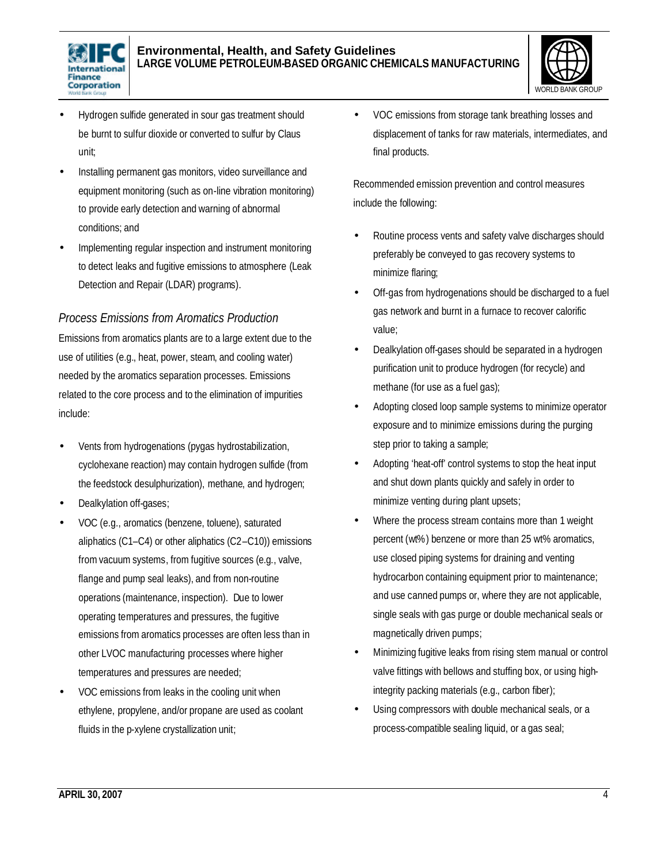



- Hydrogen sulfide generated in sour gas treatment should be burnt to sulfur dioxide or converted to sulfur by Claus unit;
- Installing permanent gas monitors, video surveillance and equipment monitoring (such as on-line vibration monitoring) to provide early detection and warning of abnormal conditions; and
- Implementing regular inspection and instrument monitoring to detect leaks and fugitive emissions to atmosphere (Leak Detection and Repair (LDAR) programs).

# *Process Emissions from Aromatics Production*

Emissions from aromatics plants are to a large extent due to the use of utilities (e.g., heat, power, steam, and cooling water) needed by the aromatics separation processes. Emissions related to the core process and to the elimination of impurities include:

- Vents from hydrogenations (pygas hydrostabilization, cyclohexane reaction) may contain hydrogen sulfide (from the feedstock desulphurization), methane, and hydrogen;
- Dealkylation off-gases;
- VOC (e.g., aromatics (benzene, toluene), saturated aliphatics (C1–C4) or other aliphatics (C2–C10)) emissions from vacuum systems, from fugitive sources (e.g., valve, flange and pump seal leaks), and from non-routine operations (maintenance, inspection). Due to lower operating temperatures and pressures, the fugitive emissions from aromatics processes are often less than in other LVOC manufacturing processes where higher temperatures and pressures are needed;
- VOC emissions from leaks in the cooling unit when ethylene, propylene, and/or propane are used as coolant fluids in the p-xylene crystallization unit;

• VOC emissions from storage tank breathing losses and displacement of tanks for raw materials, intermediates, and final products.

Recommended emission prevention and control measures include the following:

- Routine process vents and safety valve discharges should preferably be conveyed to gas recovery systems to minimize flaring;
- Off-gas from hydrogenations should be discharged to a fuel gas network and burnt in a furnace to recover calorific value;
- Dealkylation off-gases should be separated in a hydrogen purification unit to produce hydrogen (for recycle) and methane (for use as a fuel gas);
- Adopting closed loop sample systems to minimize operator exposure and to minimize emissions during the purging step prior to taking a sample;
- Adopting 'heat-off' control systems to stop the heat input and shut down plants quickly and safely in order to minimize venting during plant upsets;
- Where the process stream contains more than 1 weight percent (wt%) benzene or more than 25 wt% aromatics, use closed piping systems for draining and venting hydrocarbon containing equipment prior to maintenance; and use canned pumps or, where they are not applicable, single seals with gas purge or double mechanical seals or magnetically driven pumps;
- Minimizing fugitive leaks from rising stem manual or control valve fittings with bellows and stuffing box, or using highintegrity packing materials (e.g., carbon fiber);
- Using compressors with double mechanical seals, or a process-compatible sealing liquid, or a gas seal;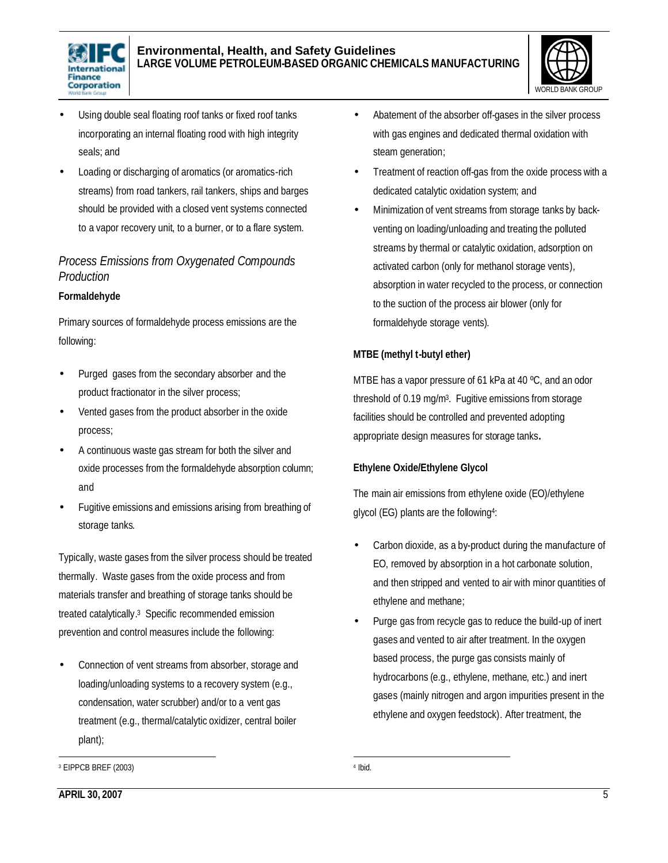



- Using double seal floating roof tanks or fixed roof tanks incorporating an internal floating rood with high integrity seals; and
- Loading or discharging of aromatics (or aromatics-rich streams) from road tankers, rail tankers, ships and barges should be provided with a closed vent systems connected to a vapor recovery unit, to a burner, or to a flare system.

# *Process Emissions from Oxygenated Compounds Production*

### **Formaldehyde**

Primary sources of formaldehyde process emissions are the following:

- Purged gases from the secondary absorber and the product fractionator in the silver process;
- Vented gases from the product absorber in the oxide process;
- A continuous waste gas stream for both the silver and oxide processes from the formaldehyde absorption column; and
- Fugitive emissions and emissions arising from breathing of storage tanks.

Typically, waste gases from the silver process should be treated thermally. Waste gases from the oxide process and from materials transfer and breathing of storage tanks should be treated catalytically. <sup>3</sup> Specific recommended emission prevention and control measures include the following:

• Connection of vent streams from absorber, storage and loading/unloading systems to a recovery system (e.g., condensation, water scrubber) and/or to a vent gas treatment (e.g., thermal/catalytic oxidizer, central boiler plant);

- Abatement of the absorber off-gases in the silver process with gas engines and dedicated thermal oxidation with steam generation;
- Treatment of reaction off-gas from the oxide process with a dedicated catalytic oxidation system; and
- Minimization of vent streams from storage tanks by backventing on loading/unloading and treating the polluted streams by thermal or catalytic oxidation, adsorption on activated carbon (only for methanol storage vents), absorption in water recycled to the process, or connection to the suction of the process air blower (only for formaldehyde storage vents).

### **MTBE (methyl t-butyl ether)**

MTBE has a vapor pressure of 61 kPa at 40 °C, and an odor threshold of 0.19 mg/m<sup>3</sup>. Fugitive emissions from storage facilities should be controlled and prevented adopting appropriate design measures for storage tanks**.**

### **Ethylene Oxide/Ethylene Glycol**

The main air emissions from ethylene oxide (EO)/ethylene glycol (EG) plants are the following<sup>4</sup>:

- Carbon dioxide, as a by-product during the manufacture of EO, removed by absorption in a hot carbonate solution, and then stripped and vented to air with minor quantities of ethylene and methane;
- Purge gas from recycle gas to reduce the build-up of inert gases and vented to air after treatment. In the oxygen based process, the purge gas consists mainly of hydrocarbons (e.g., ethylene, methane, etc.) and inert gases (mainly nitrogen and argon impurities present in the ethylene and oxygen feedstock). After treatment, the

l <sup>3</sup> EIPPCB BREF (2003)

l 4 Ibid.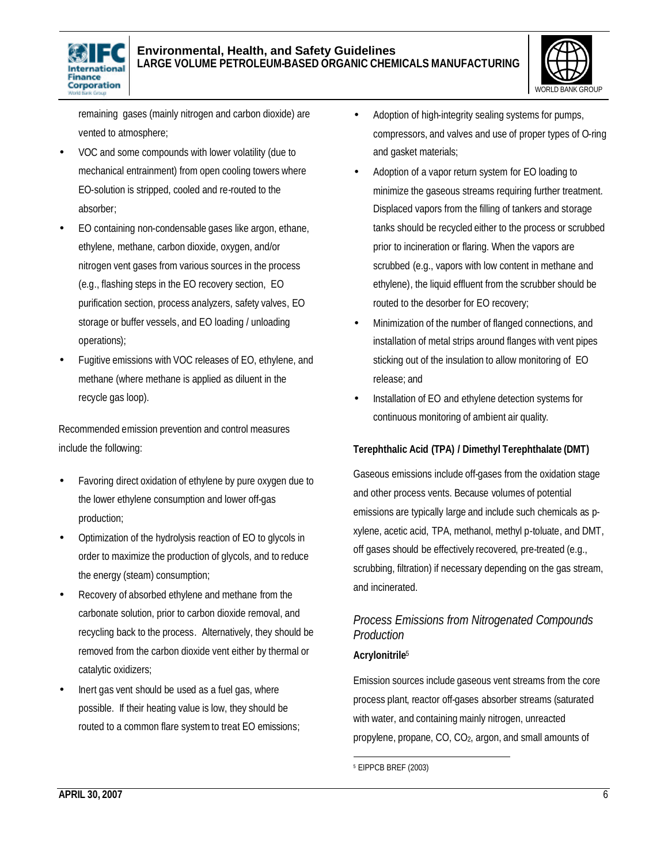# **International Finance Corporation**

### **Environmental, Health, and Safety Guidelines LARGE VOLUME PETROLEUM-BASED ORGANIC CHEMICALS MANUFACTURING**



remaining gases (mainly nitrogen and carbon dioxide) are vented to atmosphere;

- VOC and some compounds with lower volatility (due to mechanical entrainment) from open cooling towers where EO-solution is stripped, cooled and re-routed to the absorber;
- EO containing non-condensable gases like argon, ethane, ethylene, methane, carbon dioxide, oxygen, and/or nitrogen vent gases from various sources in the process (e.g., flashing steps in the EO recovery section, EO purification section, process analyzers, safety valves, EO storage or buffer vessels, and EO loading / unloading operations);
- Fugitive emissions with VOC releases of EO, ethylene, and methane (where methane is applied as diluent in the recycle gas loop).

Recommended emission prevention and control measures include the following:

- Favoring direct oxidation of ethylene by pure oxygen due to the lower ethylene consumption and lower off-gas production;
- Optimization of the hydrolysis reaction of EO to glycols in order to maximize the production of glycols, and to reduce the energy (steam) consumption;
- Recovery of absorbed ethylene and methane from the carbonate solution, prior to carbon dioxide removal, and recycling back to the process. Alternatively, they should be removed from the carbon dioxide vent either by thermal or catalytic oxidizers;
- Inert gas vent should be used as a fuel gas, where possible. If their heating value is low, they should be routed to a common flare system to treat EO emissions;
- Adoption of high-integrity sealing systems for pumps, compressors, and valves and use of proper types of O-ring and gasket materials;
- Adoption of a vapor return system for EO loading to minimize the gaseous streams requiring further treatment. Displaced vapors from the filling of tankers and storage tanks should be recycled either to the process or scrubbed prior to incineration or flaring. When the vapors are scrubbed (e.g., vapors with low content in methane and ethylene), the liquid effluent from the scrubber should be routed to the desorber for EO recovery;
- Minimization of the number of flanged connections, and installation of metal strips around flanges with vent pipes sticking out of the insulation to allow monitoring of EO release; and
- Installation of EO and ethylene detection systems for continuous monitoring of ambient air quality.

### **Terephthalic Acid (TPA) / Dimethyl Terephthalate (DMT)**

Gaseous emissions include off-gases from the oxidation stage and other process vents. Because volumes of potential emissions are typically large and include such chemicals as pxylene, acetic acid, TPA, methanol, methyl p-toluate, and DMT, off gases should be effectively recovered, pre-treated (e.g., scrubbing, filtration) if necessary depending on the gas stream, and incinerated.

# *Process Emissions from Nitrogenated Compounds Production* **Acrylonitrile**<sup>5</sup>

Emission sources include gaseous vent streams from the core process plant, reactor off-gases absorber streams (saturated with water, and containing mainly nitrogen, unreacted propylene, propane, CO, CO2, argon, and small amounts of

l <sup>5</sup> EIPPCB BREF (2003)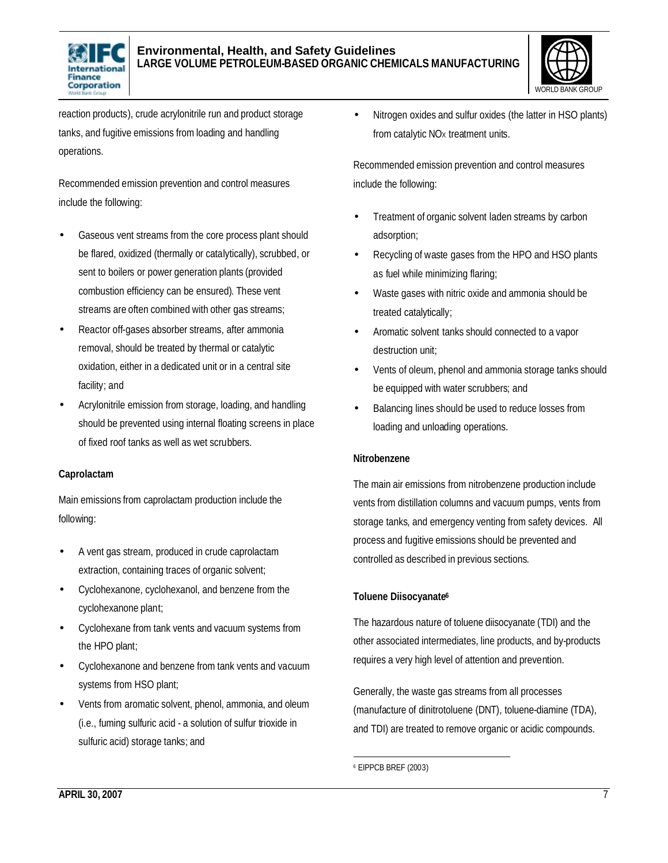



reaction products), crude acrylonitrile run and product storage tanks, and fugitive emissions from loading and handling operations.

Recommended emission prevention and control measures include the following:

- Gaseous vent streams from the core process plant should be flared, oxidized (thermally or catalytically), scrubbed, or sent to boilers or power generation plants (provided combustion efficiency can be ensured). These vent streams are often combined with other gas streams;
- Reactor off-gases absorber streams, after ammonia removal, should be treated by thermal or catalytic oxidation, either in a dedicated unit or in a central site facility; and
- Acrylonitrile emission from storage, loading, and handling should be prevented using internal floating screens in place of fixed roof tanks as well as wet scrubbers.

### **Caprolactam**

Main emissions from caprolactam production include the following:

- A vent gas stream, produced in crude caprolactam extraction, containing traces of organic solvent;
- Cyclohexanone, cyclohexanol, and benzene from the cyclohexanone plant;
- Cyclohexane from tank vents and vacuum systems from the HPO plant;
- Cyclohexanone and benzene from tank vents and vacuum systems from HSO plant;
- Vents from aromatic solvent, phenol, ammonia, and oleum (i.e., fuming sulfuric acid - a solution of sulfur trioxide in sulfuric acid) storage tanks; and

• Nitrogen oxides and sulfur oxides (the latter in HSO plants) from catalytic  $NO<sub>x</sub>$  treatment units.

Recommended emission prevention and control measures include the following:

- Treatment of organic solvent laden streams by carbon adsorption;
- Recycling of waste gases from the HPO and HSO plants as fuel while minimizing flaring;
- Waste gases with nitric oxide and ammonia should be treated catalytically;
- Aromatic solvent tanks should connected to a vapor destruction unit;
- Vents of oleum, phenol and ammonia storage tanks should be equipped with water scrubbers; and
- Balancing lines should be used to reduce losses from loading and unloading operations.

### **Nitrobenzene**

The main air emissions from nitrobenzene production include vents from distillation columns and vacuum pumps, vents from storage tanks, and emergency venting from safety devices. All process and fugitive emissions should be prevented and controlled as described in previous sections.

### **Toluene Diisocyanate<sup>6</sup>**

The hazardous nature of toluene diisocyanate (TDI) and the other associated intermediates, line products, and by-products requires a very high level of attention and prevention.

Generally, the waste gas streams from all processes (manufacture of dinitrotoluene (DNT), toluene-diamine (TDA), and TDI) are treated to remove organic or acidic compounds.

l <sup>6</sup> EIPPCB BREF (2003)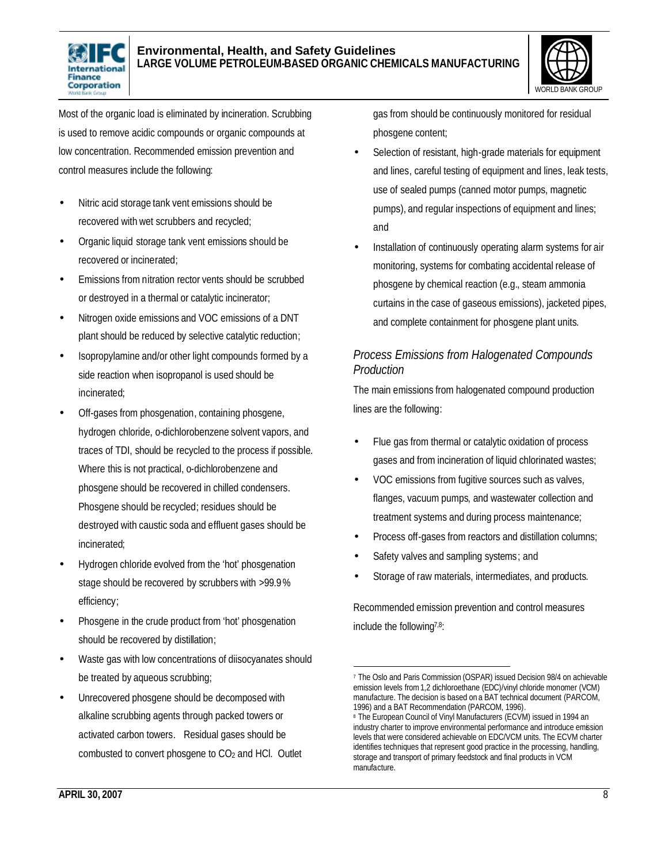



Most of the organic load is eliminated by incineration. Scrubbing is used to remove acidic compounds or organic compounds at low concentration. Recommended emission prevention and control measures include the following:

- Nitric acid storage tank vent emissions should be recovered with wet scrubbers and recycled;
- Organic liquid storage tank vent emissions should be recovered or incinerated;
- Emissions from nitration rector vents should be scrubbed or destroyed in a thermal or catalytic incinerator;
- Nitrogen oxide emissions and VOC emissions of a DNT plant should be reduced by selective catalytic reduction;
- Isopropylamine and/or other light compounds formed by a side reaction when isopropanol is used should be incinerated;
- Off-gases from phosgenation, containing phosgene, hydrogen chloride, o-dichlorobenzene solvent vapors, and traces of TDI, should be recycled to the process if possible. Where this is not practical, o-dichlorobenzene and phosgene should be recovered in chilled condensers. Phosgene should be recycled; residues should be destroyed with caustic soda and effluent gases should be incinerated;
- Hydrogen chloride evolved from the 'hot' phosgenation stage should be recovered by scrubbers with >99.9 % efficiency;
- Phosgene in the crude product from 'hot' phosgenation should be recovered by distillation;
- Waste gas with low concentrations of diisocyanates should be treated by aqueous scrubbing;
- Unrecovered phosgene should be decomposed with alkaline scrubbing agents through packed towers or activated carbon towers. Residual gases should be combusted to convert phosgene to CO<sub>2</sub> and HCl. Outlet

gas from should be continuously monitored for residual phosgene content;

- Selection of resistant, high-grade materials for equipment and lines, careful testing of equipment and lines, leak tests, use of sealed pumps (canned motor pumps, magnetic pumps), and regular inspections of equipment and lines; and
- Installation of continuously operating alarm systems for air monitoring, systems for combating accidental release of phosgene by chemical reaction (e.g., steam ammonia curtains in the case of gaseous emissions), jacketed pipes, and complete containment for phosgene plant units.

# *Process Emissions from Halogenated Compounds Production*

The main emissions from halogenated compound production lines are the following:

- Flue gas from thermal or catalytic oxidation of process gases and from incineration of liquid chlorinated wastes;
- VOC emissions from fugitive sources such as valves, flanges, vacuum pumps, and wastewater collection and treatment systems and during process maintenance;
- Process off-gases from reactors and distillation columns;
- Safety valves and sampling systems; and
- Storage of raw materials, intermediates, and products.

Recommended emission prevention and control measures include the following<sup>7,8</sup>:

<sup>1</sup> 7 The Oslo and Paris Commission (OSPAR) issued Decision 98/4 on achievable emission levels from 1,2 dichloroethane (EDC)/vinyl chloride monomer (VCM) manufacture. The decision is based on a BAT technical document (PARCOM, 1996) and a BAT Recommendation (PARCOM, 1996).

<sup>&</sup>lt;sup>8</sup> The European Council of Vinyl Manufacturers (ECVM) issued in 1994 an industry charter to improve environmental performance and introduce emission levels that were considered achievable on EDC/VCM units. The ECVM charter identifies techniques that represent good practice in the processing, handling, storage and transport of primary feedstock and final products in VCM manufacture.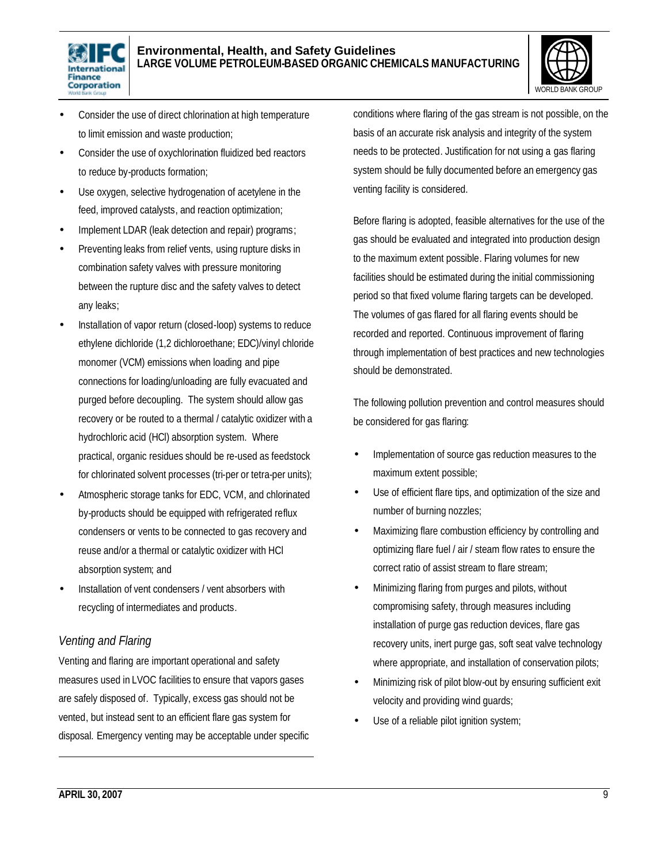



- Consider the use of direct chlorination at high temperature to limit emission and waste production;
- Consider the use of oxychlorination fluidized bed reactors to reduce by-products formation;
- Use oxygen, selective hydrogenation of acetylene in the feed, improved catalysts, and reaction optimization;
- Implement LDAR (leak detection and repair) programs;
- Preventing leaks from relief vents, using rupture disks in combination safety valves with pressure monitoring between the rupture disc and the safety valves to detect any leaks;
- Installation of vapor return (closed-loop) systems to reduce ethylene dichloride (1,2 dichloroethane; EDC)/vinyl chloride monomer (VCM) emissions when loading and pipe connections for loading/unloading are fully evacuated and purged before decoupling. The system should allow gas recovery or be routed to a thermal / catalytic oxidizer with a hydrochloric acid (HCl) absorption system. Where practical, organic residues should be re-used as feedstock for chlorinated solvent processes (tri-per or tetra-per units);
- Atmospheric storage tanks for EDC, VCM, and chlorinated by-products should be equipped with refrigerated reflux condensers or vents to be connected to gas recovery and reuse and/or a thermal or catalytic oxidizer with HCl absorption system; and
- Installation of vent condensers / vent absorbers with recycling of intermediates and products.

# *Venting and Flaring*

Venting and flaring are important operational and safety measures used in LVOC facilities to ensure that vapors gases are safely disposed of. Typically, excess gas should not be vented, but instead sent to an efficient flare gas system for disposal. Emergency venting may be acceptable under specific conditions where flaring of the gas stream is not possible, on the basis of an accurate risk analysis and integrity of the system needs to be protected. Justification for not using a gas flaring system should be fully documented before an emergency gas venting facility is considered.

Before flaring is adopted, feasible alternatives for the use of the gas should be evaluated and integrated into production design to the maximum extent possible. Flaring volumes for new facilities should be estimated during the initial commissioning period so that fixed volume flaring targets can be developed. The volumes of gas flared for all flaring events should be recorded and reported. Continuous improvement of flaring through implementation of best practices and new technologies should be demonstrated.

The following pollution prevention and control measures should be considered for gas flaring:

- Implementation of source gas reduction measures to the maximum extent possible;
- Use of efficient flare tips, and optimization of the size and number of burning nozzles;
- Maximizing flare combustion efficiency by controlling and optimizing flare fuel / air / steam flow rates to ensure the correct ratio of assist stream to flare stream;
- Minimizing flaring from purges and pilots, without compromising safety, through measures including installation of purge gas reduction devices, flare gas recovery units, inert purge gas, soft seat valve technology where appropriate, and installation of conservation pilots;
- Minimizing risk of pilot blow-out by ensuring sufficient exit velocity and providing wind guards;
- Use of a reliable pilot ignition system;

l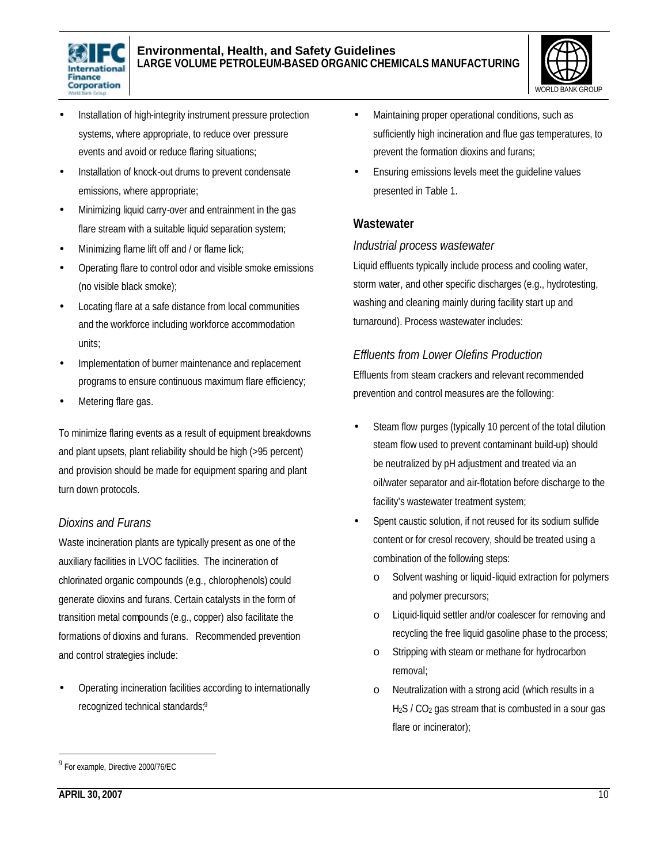



- Installation of high-integrity instrument pressure protection systems, where appropriate, to reduce over pressure events and avoid or reduce flaring situations;
- Installation of knock-out drums to prevent condensate emissions, where appropriate;
- Minimizing liquid carry-over and entrainment in the gas flare stream with a suitable liquid separation system;
- Minimizing flame lift off and / or flame lick;
- Operating flare to control odor and visible smoke emissions (no visible black smoke);
- Locating flare at a safe distance from local communities and the workforce including workforce accommodation units;
- Implementation of burner maintenance and replacement programs to ensure continuous maximum flare efficiency;
- Metering flare gas.

To minimize flaring events as a result of equipment breakdowns and plant upsets, plant reliability should be high (>95 percent) and provision should be made for equipment sparing and plant turn down protocols.

### *Dioxins and Furans*

Waste incineration plants are typically present as one of the auxiliary facilities in LVOC facilities. The incineration of chlorinated organic compounds (e.g., chlorophenols) could generate dioxins and furans. Certain catalysts in the form of transition metal compounds (e.g., copper) also facilitate the formations of dioxins and furans. Recommended prevention and control strategies include:

• Operating incineration facilities according to internationally recognized technical standards; 9

- Maintaining proper operational conditions, such as sufficiently high incineration and flue gas temperatures, to prevent the formation dioxins and furans;
- Ensuring emissions levels meet the guideline values presented in Table 1.

### **Wastewater**

### *Industrial process wastewater*

Liquid effluents typically include process and cooling water, storm water, and other specific discharges (e.g., hydrotesting, washing and cleaning mainly during facility start up and turnaround). Process wastewater includes:

### *Effluents from Lower Olefins Production*

Effluents from steam crackers and relevant recommended prevention and control measures are the following:

- Steam flow purges (typically 10 percent of the total dilution steam flow used to prevent contaminant build-up) should be neutralized by pH adjustment and treated via an oil/water separator and air-flotation before discharge to the facility's wastewater treatment system;
- Spent caustic solution, if not reused for its sodium sulfide content or for cresol recovery, should be treated using a combination of the following steps:
	- o Solvent washing or liquid-liquid extraction for polymers and polymer precursors;
	- o Liquid-liquid settler and/or coalescer for removing and recycling the free liquid gasoline phase to the process;
	- o Stripping with steam or methane for hydrocarbon removal;
	- o Neutralization with a strong acid (which results in a  $H<sub>2</sub>S / CO<sub>2</sub>$  gas stream that is combusted in a sour gas flare or incinerator);

 $\overline{a}$ 

<sup>&</sup>lt;sup>9</sup> For example, Directive 2000/76/EC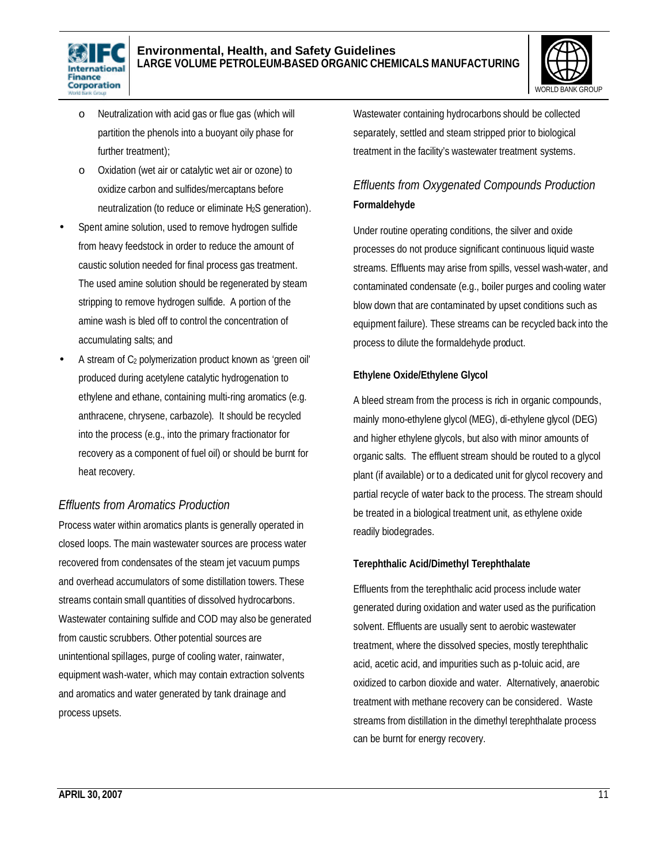



- o Neutralization with acid gas or flue gas (which will partition the phenols into a buoyant oily phase for further treatment);
- o Oxidation (wet air or catalytic wet air or ozone) to oxidize carbon and sulfides/mercaptans before neutralization (to reduce or eliminate H<sub>2</sub>S generation).
- Spent amine solution, used to remove hydrogen sulfide from heavy feedstock in order to reduce the amount of caustic solution needed for final process gas treatment. The used amine solution should be regenerated by steam stripping to remove hydrogen sulfide. A portion of the amine wash is bled off to control the concentration of accumulating salts; and
- A stream of C2 polymerization product known as 'green oil' produced during acetylene catalytic hydrogenation to ethylene and ethane, containing multi-ring aromatics (e.g. anthracene, chrysene, carbazole). It should be recycled into the process (e.g., into the primary fractionator for recovery as a component of fuel oil) or should be burnt for heat recovery.

# *Effluents from Aromatics Production*

Process water within aromatics plants is generally operated in closed loops. The main wastewater sources are process water recovered from condensates of the steam jet vacuum pumps and overhead accumulators of some distillation towers. These streams contain small quantities of dissolved hydrocarbons. Wastewater containing sulfide and COD may also be generated from caustic scrubbers. Other potential sources are unintentional spillages, purge of cooling water, rainwater, equipment wash-water, which may contain extraction solvents and aromatics and water generated by tank drainage and process upsets.

Wastewater containing hydrocarbons should be collected separately, settled and steam stripped prior to biological treatment in the facility's wastewater treatment systems.

# *Effluents from Oxygenated Compounds Production* **Formaldehyde**

Under routine operating conditions, the silver and oxide processes do not produce significant continuous liquid waste streams. Effluents may arise from spills, vessel wash-water, and contaminated condensate (e.g., boiler purges and cooling water blow down that are contaminated by upset conditions such as equipment failure). These streams can be recycled back into the process to dilute the formaldehyde product.

#### **Ethylene Oxide/Ethylene Glycol**

A bleed stream from the process is rich in organic compounds, mainly mono-ethylene glycol (MEG), di-ethylene glycol (DEG) and higher ethylene glycols, but also with minor amounts of organic salts. The effluent stream should be routed to a glycol plant (if available) or to a dedicated unit for glycol recovery and partial recycle of water back to the process. The stream should be treated in a biological treatment unit, as ethylene oxide readily biodegrades.

### **Terephthalic Acid/Dimethyl Terephthalate**

Effluents from the terephthalic acid process include water generated during oxidation and water used as the purification solvent. Effluents are usually sent to aerobic wastewater treatment, where the dissolved species, mostly terephthalic acid, acetic acid, and impurities such as p-toluic acid, are oxidized to carbon dioxide and water. Alternatively, anaerobic treatment with methane recovery can be considered. Waste streams from distillation in the dimethyl terephthalate process can be burnt for energy recovery.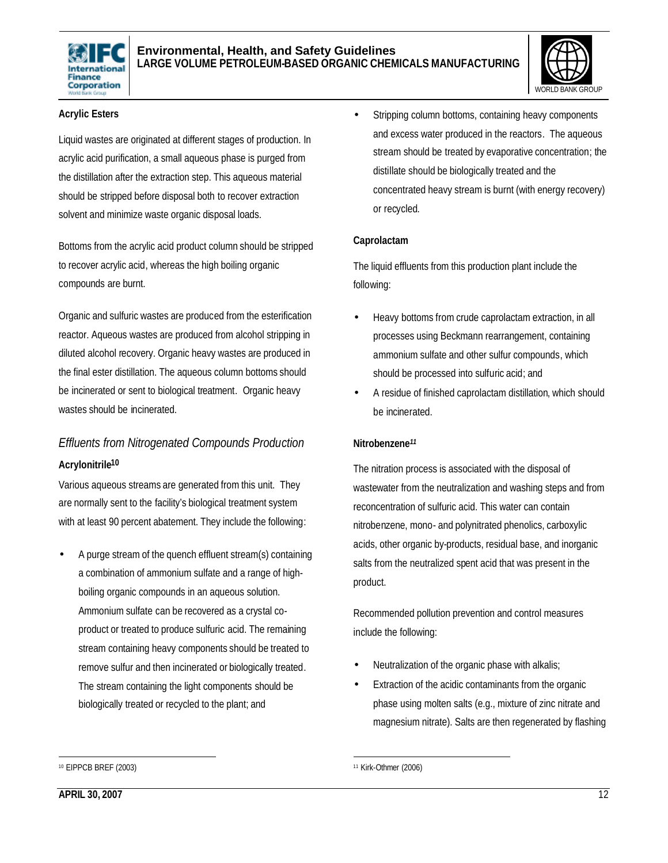



#### **Acrylic Esters**

Liquid wastes are originated at different stages of production. In acrylic acid purification, a small aqueous phase is purged from the distillation after the extraction step. This aqueous material should be stripped before disposal both to recover extraction solvent and minimize waste organic disposal loads.

Bottoms from the acrylic acid product column should be stripped to recover acrylic acid, whereas the high boiling organic compounds are burnt.

Organic and sulfuric wastes are produced from the esterification reactor. Aqueous wastes are produced from alcohol stripping in diluted alcohol recovery. Organic heavy wastes are produced in the final ester distillation. The aqueous column bottoms should be incinerated or sent to biological treatment. Organic heavy wastes should be incinerated.

# *Effluents from Nitrogenated Compounds Production* **Acrylonitrile10**

Various aqueous streams are generated from this unit. They are normally sent to the facility's biological treatment system with at least 90 percent abatement. They include the following:

• A purge stream of the quench effluent stream(s) containing a combination of ammonium sulfate and a range of highboiling organic compounds in an aqueous solution. Ammonium sulfate can be recovered as a crystal coproduct or treated to produce sulfuric acid. The remaining stream containing heavy components should be treated to remove sulfur and then incinerated or biologically treated. The stream containing the light components should be biologically treated or recycled to the plant; and

Stripping column bottoms, containing heavy components and excess water produced in the reactors. The aqueous stream should be treated by evaporative concentration; the distillate should be biologically treated and the concentrated heavy stream is burnt (with energy recovery) or recycled.

#### **Caprolactam**

The liquid effluents from this production plant include the following:

- Heavy bottoms from crude caprolactam extraction, in all processes using Beckmann rearrangement, containing ammonium sulfate and other sulfur compounds, which should be processed into sulfuric acid; and
- A residue of finished caprolactam distillation, which should be incinerated.

### **Nitrobenzene***<sup>11</sup>*

The nitration process is associated with the disposal of wastewater from the neutralization and washing steps and from reconcentration of sulfuric acid. This water can contain nitrobenzene, mono- and polynitrated phenolics, carboxylic acids, other organic by-products, residual base, and inorganic salts from the neutralized spent acid that was present in the product.

Recommended pollution prevention and control measures include the following:

- Neutralization of the organic phase with alkalis;
- Extraction of the acidic contaminants from the organic phase using molten salts (e.g., mixture of zinc nitrate and magnesium nitrate). Salts are then regenerated by flashing

l

<sup>10</sup> EIPPCB BREF (2003)

<sup>&</sup>lt;u>.</u> <sup>11</sup> Kirk-Othmer (2006)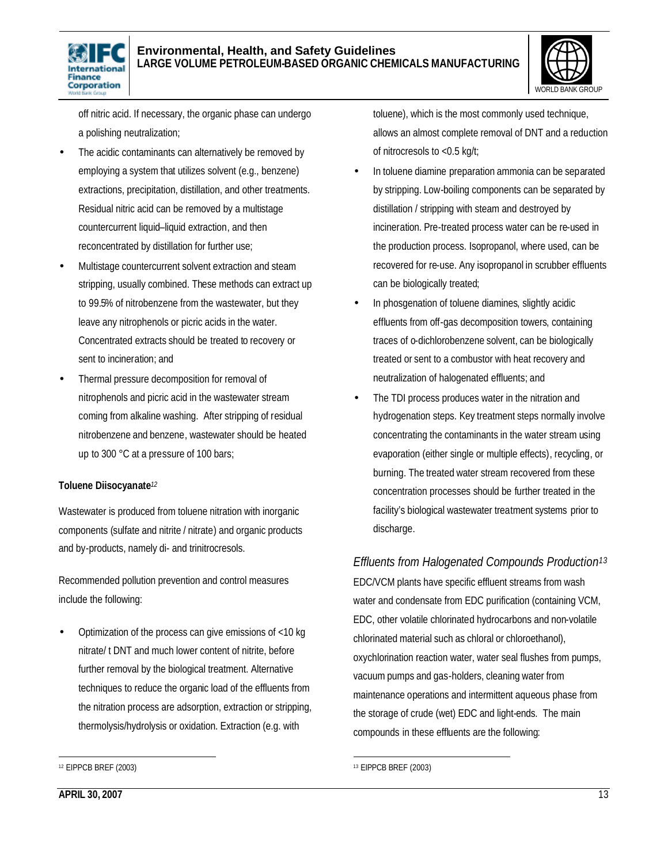# **International Finance** Corporation

### **Environmental, Health, and Safety Guidelines LARGE VOLUME PETROLEUM-BASED ORGANIC CHEMICALS MANUFACTURING**



off nitric acid. If necessary, the organic phase can undergo a polishing neutralization;

- The acidic contaminants can alternatively be removed by employing a system that utilizes solvent (e.g., benzene) extractions, precipitation, distillation, and other treatments. Residual nitric acid can be removed by a multistage countercurrent liquid–liquid extraction, and then reconcentrated by distillation for further use;
- Multistage countercurrent solvent extraction and steam stripping, usually combined. These methods can extract up to 99.5% of nitrobenzene from the wastewater, but they leave any nitrophenols or picric acids in the water. Concentrated extracts should be treated to recovery or sent to incineration; and
- Thermal pressure decomposition for removal of nitrophenols and picric acid in the wastewater stream coming from alkaline washing. After stripping of residual nitrobenzene and benzene, wastewater should be heated up to 300 °C at a pressure of 100 bars;

### **Toluene Diisocyanate***<sup>12</sup>*

Wastewater is produced from toluene nitration with inorganic components (sulfate and nitrite / nitrate) and organic products and by-products, namely di- and trinitrocresols.

Recommended pollution prevention and control measures include the following:

• Optimization of the process can give emissions of <10 kg nitrate/ t DNT and much lower content of nitrite, before further removal by the biological treatment. Alternative techniques to reduce the organic load of the effluents from the nitration process are adsorption, extraction or stripping, thermolysis/hydrolysis or oxidation. Extraction (e.g. with

toluene), which is the most commonly used technique, allows an almost complete removal of DNT and a reduction of nitrocresols to <0.5 kg/t;

- In toluene diamine preparation ammonia can be separated by stripping. Low-boiling components can be separated by distillation / stripping with steam and destroyed by incineration. Pre-treated process water can be re-used in the production process. Isopropanol, where used, can be recovered for re-use. Any isopropanol in scrubber effluents can be biologically treated;
- In phosgenation of toluene diamines, slightly acidic effluents from off-gas decomposition towers, containing traces of o-dichlorobenzene solvent, can be biologically treated or sent to a combustor with heat recovery and neutralization of halogenated effluents; and
- The TDI process produces water in the nitration and hydrogenation steps. Key treatment steps normally involve concentrating the contaminants in the water stream using evaporation (either single or multiple effects), recycling, or burning. The treated water stream recovered from these concentration processes should be further treated in the facility's biological wastewater treatment systems prior to discharge.

# *Effluents from Halogenated Compounds Production<sup>13</sup>*

EDC/VCM plants have specific effluent streams from wash water and condensate from EDC purification (containing VCM, EDC, other volatile chlorinated hydrocarbons and non-volatile chlorinated material such as chloral or chloroethanol), oxychlorination reaction water, water seal flushes from pumps, vacuum pumps and gas-holders, cleaning water from maintenance operations and intermittent aqueous phase from the storage of crude (wet) EDC and light-ends. The main compounds in these effluents are the following:

<sup>&</sup>lt;u>.</u> <sup>13</sup> EIPPCB BREF (2003)

l <sup>12</sup> EIPPCB BREF (2003)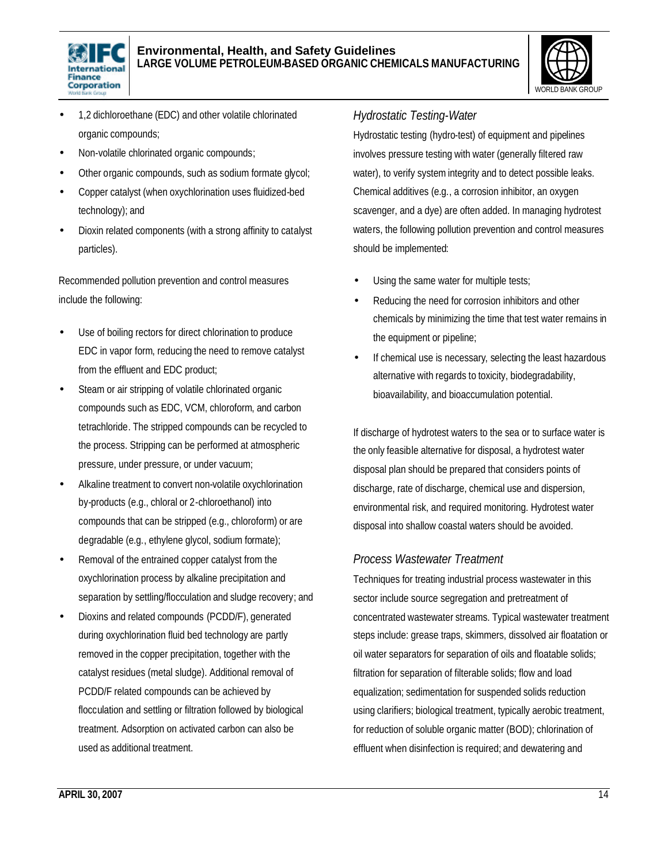



- 1,2 dichloroethane (EDC) and other volatile chlorinated organic compounds;
- Non-volatile chlorinated organic compounds;
- Other organic compounds, such as sodium formate glycol;
- Copper catalyst (when oxychlorination uses fluidized-bed technology); and
- Dioxin related components (with a strong affinity to catalyst particles).

Recommended pollution prevention and control measures include the following:

- Use of boiling rectors for direct chlorination to produce EDC in vapor form, reducing the need to remove catalyst from the effluent and EDC product;
- Steam or air stripping of volatile chlorinated organic compounds such as EDC, VCM, chloroform, and carbon tetrachloride. The stripped compounds can be recycled to the process. Stripping can be performed at atmospheric pressure, under pressure, or under vacuum;
- Alkaline treatment to convert non-volatile oxychlorination by-products (e.g., chloral or 2-chloroethanol) into compounds that can be stripped (e.g., chloroform) or are degradable (e.g., ethylene glycol, sodium formate);
- Removal of the entrained copper catalyst from the oxychlorination process by alkaline precipitation and separation by settling/flocculation and sludge recovery; and
- Dioxins and related compounds (PCDD/F), generated during oxychlorination fluid bed technology are partly removed in the copper precipitation, together with the catalyst residues (metal sludge). Additional removal of PCDD/F related compounds can be achieved by flocculation and settling or filtration followed by biological treatment. Adsorption on activated carbon can also be used as additional treatment.

# *Hydrostatic Testing-Water*

Hydrostatic testing (hydro-test) of equipment and pipelines involves pressure testing with water (generally filtered raw water), to verify system integrity and to detect possible leaks. Chemical additives (e.g., a corrosion inhibitor, an oxygen scavenger, and a dye) are often added. In managing hydrotest waters, the following pollution prevention and control measures should be implemented:

- Using the same water for multiple tests;
- Reducing the need for corrosion inhibitors and other chemicals by minimizing the time that test water remains in the equipment or pipeline;
- If chemical use is necessary, selecting the least hazardous alternative with regards to toxicity, biodegradability, bioavailability, and bioaccumulation potential.

If discharge of hydrotest waters to the sea or to surface water is the only feasible alternative for disposal, a hydrotest water disposal plan should be prepared that considers points of discharge, rate of discharge, chemical use and dispersion, environmental risk, and required monitoring. Hydrotest water disposal into shallow coastal waters should be avoided.

# *Process Wastewater Treatment*

Techniques for treating industrial process wastewater in this sector include source segregation and pretreatment of concentrated wastewater streams. Typical wastewater treatment steps include: grease traps, skimmers, dissolved air floatation or oil water separators for separation of oils and floatable solids; filtration for separation of filterable solids; flow and load equalization; sedimentation for suspended solids reduction using clarifiers; biological treatment, typically aerobic treatment, for reduction of soluble organic matter (BOD); chlorination of effluent when disinfection is required; and dewatering and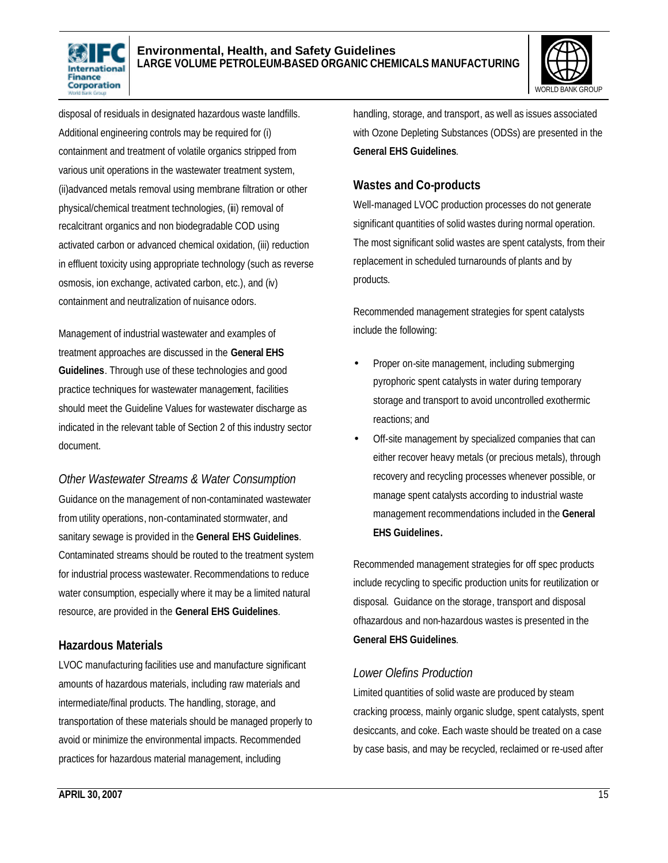



disposal of residuals in designated hazardous waste landfills. Additional engineering controls may be required for (i) containment and treatment of volatile organics stripped from various unit operations in the wastewater treatment system, (ii)advanced metals removal using membrane filtration or other physical/chemical treatment technologies, (iii) removal of recalcitrant organics and non biodegradable COD using activated carbon or advanced chemical oxidation, (iii) reduction in effluent toxicity using appropriate technology (such as reverse osmosis, ion exchange, activated carbon, etc.), and (iv) containment and neutralization of nuisance odors.

Management of industrial wastewater and examples of treatment approaches are discussed in the **General EHS Guidelines**. Through use of these technologies and good practice techniques for wastewater management, facilities should meet the Guideline Values for wastewater discharge as indicated in the relevant table of Section 2 of this industry sector document.

*Other Wastewater Streams & Water Consumption* Guidance on the management of non-contaminated wastewater from utility operations, non-contaminated stormwater, and sanitary sewage is provided in the **General EHS Guidelines**. Contaminated streams should be routed to the treatment system for industrial process wastewater. Recommendations to reduce water consumption, especially where it may be a limited natural resource, are provided in the **General EHS Guidelines**.

### **Hazardous Materials**

LVOC manufacturing facilities use and manufacture significant amounts of hazardous materials, including raw materials and intermediate/final products. The handling, storage, and transportation of these materials should be managed properly to avoid or minimize the environmental impacts. Recommended practices for hazardous material management, including

handling, storage, and transport, as well as issues associated with Ozone Depleting Substances (ODSs) are presented in the **General EHS Guidelines**.

# **Wastes and Co-products**

Well-managed LVOC production processes do not generate significant quantities of solid wastes during normal operation. The most significant solid wastes are spent catalysts, from their replacement in scheduled turnarounds of plants and by products.

Recommended management strategies for spent catalysts include the following:

- Proper on-site management, including submerging pyrophoric spent catalysts in water during temporary storage and transport to avoid uncontrolled exothermic reactions; and
- Off-site management by specialized companies that can either recover heavy metals (or precious metals), through recovery and recycling processes whenever possible, or manage spent catalysts according to industrial waste management recommendations included in the **General EHS Guidelines.**

Recommended management strategies for off spec products include recycling to specific production units for reutilization or disposal. Guidance on the storage, transport and disposal ofhazardous and non-hazardous wastes is presented in the **General EHS Guidelines**.

# *Lower Olefins Production*

Limited quantities of solid waste are produced by steam cracking process, mainly organic sludge, spent catalysts, spent desiccants, and coke. Each waste should be treated on a case by case basis, and may be recycled, reclaimed or re-used after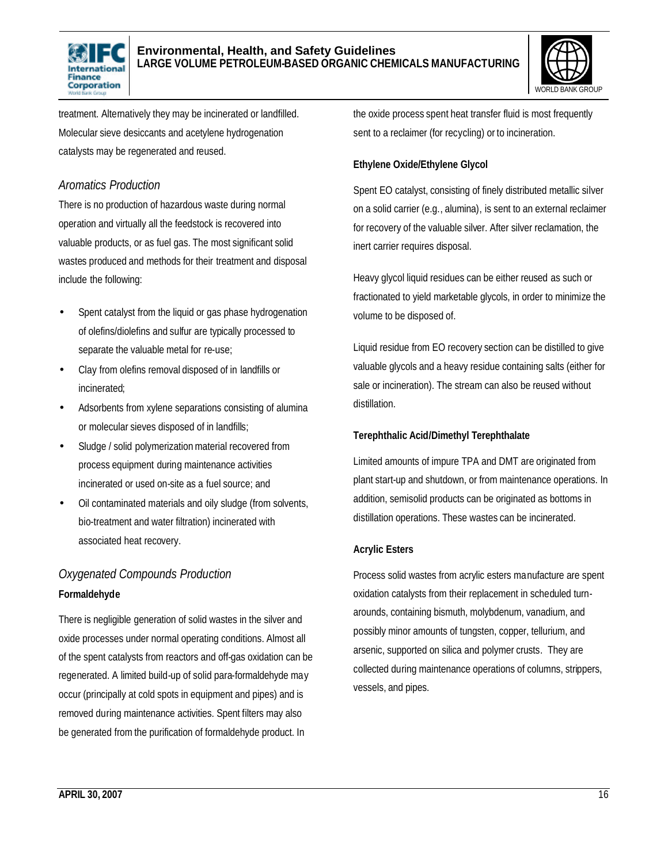



treatment. Alternatively they may be incinerated or landfilled. Molecular sieve desiccants and acetylene hydrogenation catalysts may be regenerated and reused.

### *Aromatics Production*

There is no production of hazardous waste during normal operation and virtually all the feedstock is recovered into valuable products, or as fuel gas. The most significant solid wastes produced and methods for their treatment and disposal include the following:

- Spent catalyst from the liquid or gas phase hydrogenation of olefins/diolefins and sulfur are typically processed to separate the valuable metal for re-use;
- Clay from olefins removal disposed of in landfills or incinerated;
- Adsorbents from xylene separations consisting of alumina or molecular sieves disposed of in landfills;
- Sludge / solid polymerization material recovered from process equipment during maintenance activities incinerated or used on-site as a fuel source; and
- Oil contaminated materials and oily sludge (from solvents, bio-treatment and water filtration) incinerated with associated heat recovery.

# *Oxygenated Compounds Production* **Formaldehyde**

There is negligible generation of solid wastes in the silver and oxide processes under normal operating conditions. Almost all of the spent catalysts from reactors and off-gas oxidation can be regenerated. A limited build-up of solid para-formaldehyde may occur (principally at cold spots in equipment and pipes) and is removed during maintenance activities. Spent filters may also be generated from the purification of formaldehyde product. In

the oxide process spent heat transfer fluid is most frequently sent to a reclaimer (for recycling) or to incineration.

### **Ethylene Oxide/Ethylene Glycol**

Spent EO catalyst, consisting of finely distributed metallic silver on a solid carrier (e.g., alumina), is sent to an external reclaimer for recovery of the valuable silver. After silver reclamation, the inert carrier requires disposal.

Heavy glycol liquid residues can be either reused as such or fractionated to yield marketable glycols, in order to minimize the volume to be disposed of.

Liquid residue from EO recovery section can be distilled to give valuable glycols and a heavy residue containing salts (either for sale or incineration). The stream can also be reused without distillation.

### **Terephthalic Acid/Dimethyl Terephthalate**

Limited amounts of impure TPA and DMT are originated from plant start-up and shutdown, or from maintenance operations. In addition, semisolid products can be originated as bottoms in distillation operations. These wastes can be incinerated.

### **Acrylic Esters**

Process solid wastes from acrylic esters manufacture are spent oxidation catalysts from their replacement in scheduled turnarounds, containing bismuth, molybdenum, vanadium, and possibly minor amounts of tungsten, copper, tellurium, and arsenic, supported on silica and polymer crusts. They are collected during maintenance operations of columns, strippers, vessels, and pipes.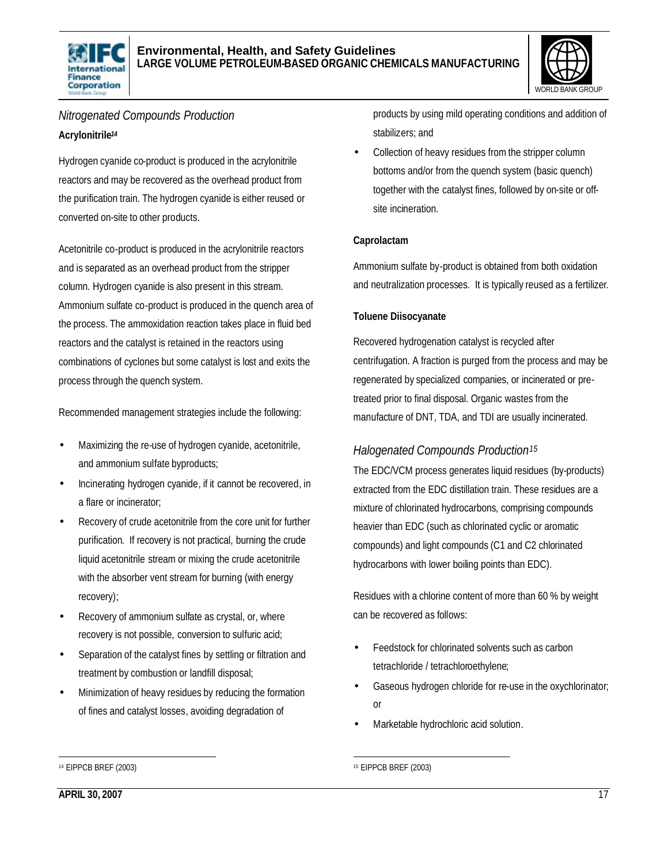



# *Nitrogenated Compounds Production* **Acrylonitrile***<sup>14</sup>*

Hydrogen cyanide co-product is produced in the acrylonitrile reactors and may be recovered as the overhead product from the purification train. The hydrogen cyanide is either reused or converted on-site to other products.

Acetonitrile co-product is produced in the acrylonitrile reactors and is separated as an overhead product from the stripper column. Hydrogen cyanide is also present in this stream. Ammonium sulfate co-product is produced in the quench area of the process. The ammoxidation reaction takes place in fluid bed reactors and the catalyst is retained in the reactors using combinations of cyclones but some catalyst is lost and exits the process through the quench system.

Recommended management strategies include the following:

- Maximizing the re-use of hydrogen cyanide, acetonitrile, and ammonium sulfate byproducts;
- Incinerating hydrogen cyanide, if it cannot be recovered, in a flare or incinerator;
- Recovery of crude acetonitrile from the core unit for further purification. If recovery is not practical, burning the crude liquid acetonitrile stream or mixing the crude acetonitrile with the absorber vent stream for burning (with energy recovery);
- Recovery of ammonium sulfate as crystal, or, where recovery is not possible, conversion to sulfuric acid;
- Separation of the catalyst fines by settling or filtration and treatment by combustion or landfill disposal;
- Minimization of heavy residues by reducing the formation of fines and catalyst losses, avoiding degradation of

products by using mild operating conditions and addition of stabilizers; and

• Collection of heavy residues from the stripper column bottoms and/or from the quench system (basic quench) together with the catalyst fines, followed by on-site or offsite incineration.

### **Caprolactam**

Ammonium sulfate by-product is obtained from both oxidation and neutralization processes. It is typically reused as a fertilizer.

#### **Toluene Diisocyanate**

Recovered hydrogenation catalyst is recycled after centrifugation. A fraction is purged from the process and may be regenerated by specialized companies, or incinerated or pretreated prior to final disposal. Organic wastes from the manufacture of DNT, TDA, and TDI are usually incinerated.

### *Halogenated Compounds Production<sup>15</sup>*

The EDC/VCM process generates liquid residues (by-products) extracted from the EDC distillation train. These residues are a mixture of chlorinated hydrocarbons, comprising compounds heavier than EDC (such as chlorinated cyclic or aromatic compounds) and light compounds (C1 and C2 chlorinated hydrocarbons with lower boiling points than EDC).

Residues with a chlorine content of more than 60 % by weight can be recovered as follows:

- Feedstock for chlorinated solvents such as carbon tetrachloride / tetrachloroethylene;
- Gaseous hydrogen chloride for re-use in the oxychlorinator; or
- Marketable hydrochloric acid solution.

l

<sup>&</sup>lt;u>.</u> <sup>15</sup> EIPPCB BREF (2003)

<sup>14</sup> EIPPCB BREF (2003)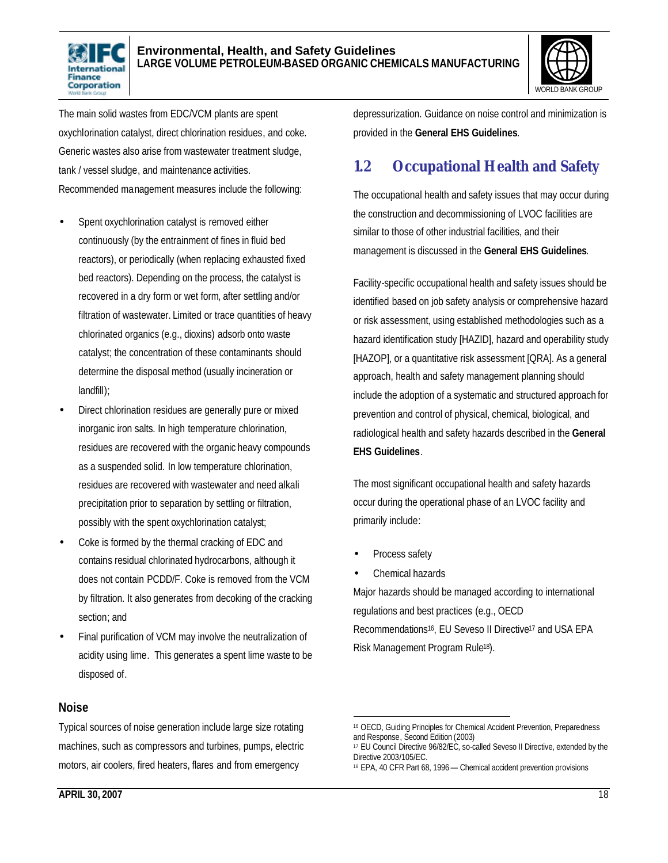



The main solid wastes from EDC/VCM plants are spent oxychlorination catalyst, direct chlorination residues, and coke. Generic wastes also arise from wastewater treatment sludge, tank / vessel sludge, and maintenance activities. Recommended management measures include the following:

- Spent oxychlorination catalyst is removed either continuously (by the entrainment of fines in fluid bed reactors), or periodically (when replacing exhausted fixed bed reactors). Depending on the process, the catalyst is recovered in a dry form or wet form, after settling and/or filtration of wastewater. Limited or trace quantities of heavy chlorinated organics (e.g., dioxins) adsorb onto waste catalyst; the concentration of these contaminants should determine the disposal method (usually incineration or landfill);
- Direct chlorination residues are generally pure or mixed inorganic iron salts. In high temperature chlorination, residues are recovered with the organic heavy compounds as a suspended solid. In low temperature chlorination, residues are recovered with wastewater and need alkali precipitation prior to separation by settling or filtration, possibly with the spent oxychlorination catalyst;
- Coke is formed by the thermal cracking of EDC and contains residual chlorinated hydrocarbons, although it does not contain PCDD/F. Coke is removed from the VCM by filtration. It also generates from decoking of the cracking section; and
- Final purification of VCM may involve the neutralization of acidity using lime. This generates a spent lime waste to be disposed of.

### **Noise**

Typical sources of noise generation include large size rotating machines, such as compressors and turbines, pumps, electric motors, air coolers, fired heaters, flares and from emergency

depressurization. Guidance on noise control and minimization is provided in the **General EHS Guidelines**.

# **1.2 Occupational Health and Safety**

The occupational health and safety issues that may occur during the construction and decommissioning of LVOC facilities are similar to those of other industrial facilities, and their management is discussed in the **General EHS Guidelines**.

Facility-specific occupational health and safety issues should be identified based on job safety analysis or comprehensive hazard or risk assessment, using established methodologies such as a hazard identification study [HAZID], hazard and operability study [HAZOP], or a quantitative risk assessment [QRA]. As a general approach, health and safety management planning should include the adoption of a systematic and structured approach for prevention and control of physical, chemical, biological, and radiological health and safety hazards described in the **General EHS Guidelines**.

The most significant occupational health and safety hazards occur during the operational phase of an LVOC facility and primarily include:

- Process safety
- Chemical hazards

Major hazards should be managed according to international regulations and best practices (e.g., OECD Recommendations<sup>16</sup>, EU Seveso II Directive<sup>17</sup> and USA EPA Risk Management Program Rule18).

<sup>1</sup> <sup>16</sup> OECD, Guiding Principles for Chemical Accident Prevention, Preparedness and Response, Second Edition (2003)

<sup>17</sup> EU Council Directive 96/82/EC*,* so-called Seveso II Directive, extended by the Directive 2003/105/EC.

<sup>18</sup> EPA, 40 CFR Part 68, 1996 - Chemical accident prevention provisions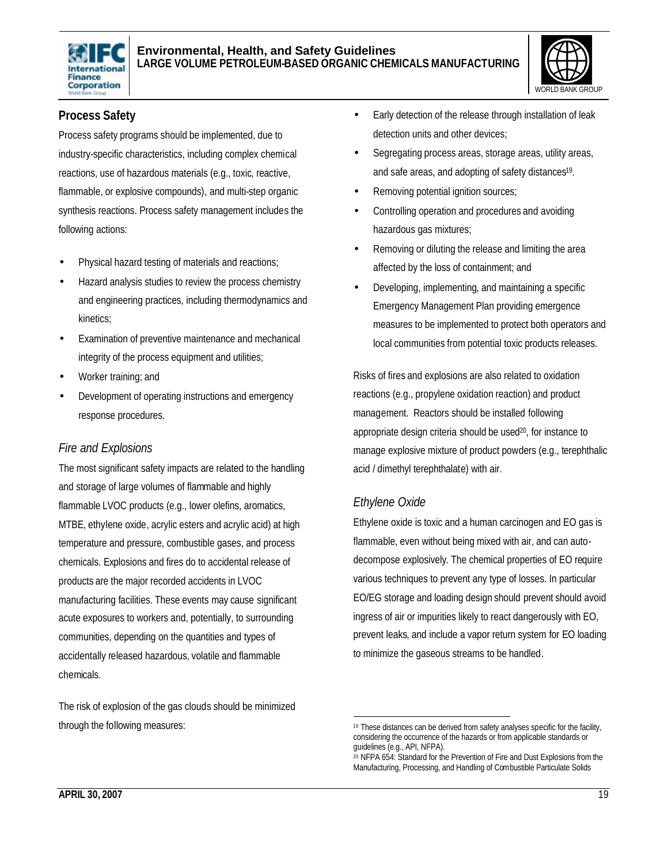



# **Process Safety**

Process safety programs should be implemented, due to industry-specific characteristics, including complex chemical reactions, use of hazardous materials (e.g., toxic, reactive, flammable, or explosive compounds), and multi-step organic synthesis reactions. Process safety management includes the following actions:

- Physical hazard testing of materials and reactions;
- Hazard analysis studies to review the process chemistry and engineering practices, including thermodynamics and kinetics;
- Examination of preventive maintenance and mechanical integrity of the process equipment and utilities;
- Worker training; and
- Development of operating instructions and emergency response procedures.

# *Fire and Explosions*

The most significant safety impacts are related to the handling and storage of large volumes of flammable and highly flammable LVOC products (e.g., lower olefins, aromatics, MTBE, ethylene oxide, acrylic esters and acrylic acid) at high temperature and pressure, combustible gases, and process chemicals. Explosions and fires do to accidental release of products are the major recorded accidents in LVOC manufacturing facilities. These events may cause significant acute exposures to workers and, potentially, to surrounding communities, depending on the quantities and types of accidentally released hazardous, volatile and flammable chemicals.

The risk of explosion of the gas clouds should be minimized through the following measures:

- Early detection of the release through installation of leak detection units and other devices;
- Segregating process areas, storage areas, utility areas, and safe areas, and adopting of safety distances<sup>19</sup>.
- Removing potential ignition sources;
- Controlling operation and procedures and avoiding hazardous gas mixtures;
- Removing or diluting the release and limiting the area affected by the loss of containment; and
- Developing, implementing, and maintaining a specific Emergency Management Plan providing emergence measures to be implemented to protect both operators and local communities from potential toxic products releases.

Risks of fires and explosions are also related to oxidation reactions (e.g., propylene oxidation reaction) and product management. Reactors should be installed following appropriate design criteria should be used<sup>20</sup>, for instance to manage explosive mixture of product powders (e.g., terephthalic acid / dimethyl terephthalate) with air.

# *Ethylene Oxide*

Ethylene oxide is toxic and a human carcinogen and EO gas is flammable, even without being mixed with air, and can autodecompose explosively. The chemical properties of EO require various techniques to prevent any type of losses. In particular EO/EG storage and loading design should prevent should avoid ingress of air or impurities likely to react dangerously with EO, prevent leaks, and include a vapor return system for EO loading to minimize the gaseous streams to be handled.

<sup>1</sup> <sup>19</sup> These distances can be derived from safety analyses specific for the facility, considering the occurrence of the hazards or from applicable standards or guidelines (e.g., API, NFPA).

<sup>&</sup>lt;sup>20</sup> NFPA 654: Standard for the Prevention of Fire and Dust Explosions from the Manufacturing, Processing, and Handling of Combustible Particulate Solids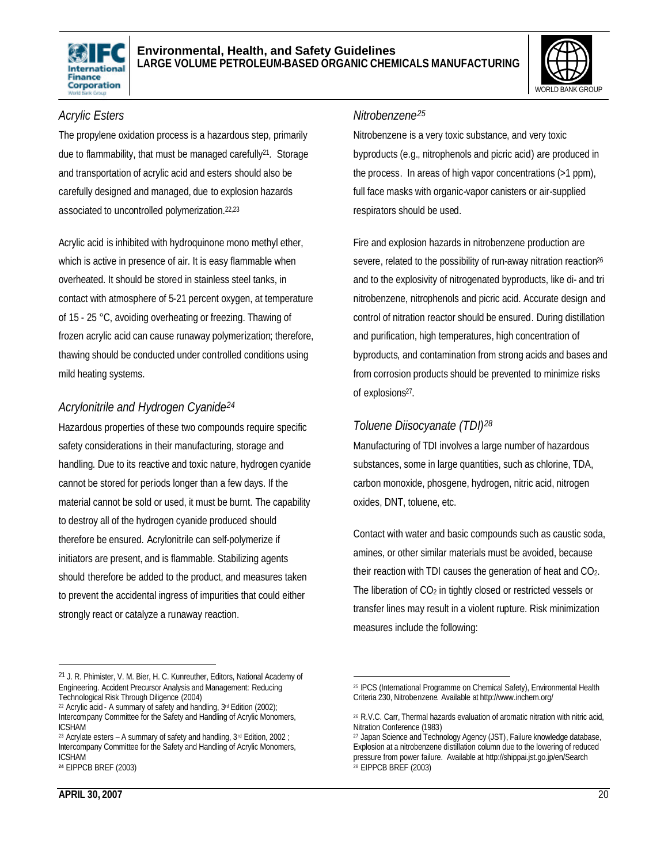



# *Acrylic Esters*

The propylene oxidation process is a hazardous step, primarily due to flammability, that must be managed carefully<sup>21</sup>. Storage and transportation of acrylic acid and esters should also be carefully designed and managed, due to explosion hazards associated to uncontrolled polymerization.22,23

Acrylic acid is inhibited with hydroquinone mono methyl ether, which is active in presence of air. It is easy flammable when overheated. It should be stored in stainless steel tanks, in contact with atmosphere of 5-21 percent oxygen, at temperature of 15 - 25 °C, avoiding overheating or freezing. Thawing of frozen acrylic acid can cause runaway polymerization; therefore, thawing should be conducted under controlled conditions using mild heating systems.

# *Acrylonitrile and Hydrogen Cyanide<sup>24</sup>*

Hazardous properties of these two compounds require specific safety considerations in their manufacturing, storage and handling. Due to its reactive and toxic nature, hydrogen cyanide cannot be stored for periods longer than a few days. If the material cannot be sold or used, it must be burnt. The capability to destroy all of the hydrogen cyanide produced should therefore be ensured. Acrylonitrile can self-polymerize if initiators are present, and is flammable. Stabilizing agents should therefore be added to the product, and measures taken to prevent the accidental ingress of impurities that could either strongly react or catalyze a runaway reaction.

### *Nitrobenzene<sup>25</sup>*

Nitrobenzene is a very toxic substance, and very toxic byproducts (e.g., nitrophenols and picric acid) are produced in the process. In areas of high vapor concentrations (>1 ppm), full face masks with organic-vapor canisters or air-supplied respirators should be used.

Fire and explosion hazards in nitrobenzene production are severe, related to the possibility of run-away nitration reaction<sup>26</sup> and to the explosivity of nitrogenated byproducts, like di- and tri nitrobenzene, nitrophenols and picric acid. Accurate design and control of nitration reactor should be ensured. During distillation and purification, high temperatures, high concentration of byproducts, and contamination from strong acids and bases and from corrosion products should be prevented to minimize risks of explosions<sup>27</sup>.

# *Toluene Diisocyanate (TDI) 28*

Manufacturing of TDI involves a large number of hazardous substances, some in large quantities, such as chlorine, TDA, carbon monoxide, phosgene, hydrogen, nitric acid, nitrogen oxides, DNT, toluene, etc.

Contact with water and basic compounds such as caustic soda, amines, or other similar materials must be avoided, because their reaction with TDI causes the generation of heat and CO2. The liberation of CO<sub>2</sub> in tightly closed or restricted vessels or transfer lines may result in a violent rupture. Risk minimization measures include the following:

 $\overline{a}$ 

<sup>21</sup> J. R. Phimister, V. M. Bier, H. C. Kunreuther, Editors, National Academy of Engineering. Accident Precursor Analysis and Management: Reducing Technological Risk Through Diligence (2004)

<sup>22</sup> Acrylic acid - A summary of safety and handling, 3rd Edition (2002); Intercompany Committee for the Safety and Handling of Acrylic Monomers, ICSHAM

<sup>&</sup>lt;sup>23</sup> Acrylate esters - A summary of safety and handling, 3rd Edition, 2002 ; Intercompany Committee for the Safety and Handling of Acrylic Monomers, ICSHAM **<sup>24</sup>** EIPPCB BREF (2003)

l <sup>25</sup> IPCS (International Programme on Chemical Safety), Environmental Health Criteria 230, Nitrobenzen*e.* Available at http://www.inchem.org/

<sup>26</sup> R.V.C. Carr, Thermal hazards evaluation of aromatic nitration with nitric acid, Nitration Conference (1983)

<sup>27</sup> Japan Science and Technology Agency (JST), Failure knowledge database, Explosion at a nitrobenzene distillation column due to the lowering of reduced pressure from power failure. Available at http://shippai.jst.go.jp/en/Search <sup>28</sup> EIPPCB BREF (2003)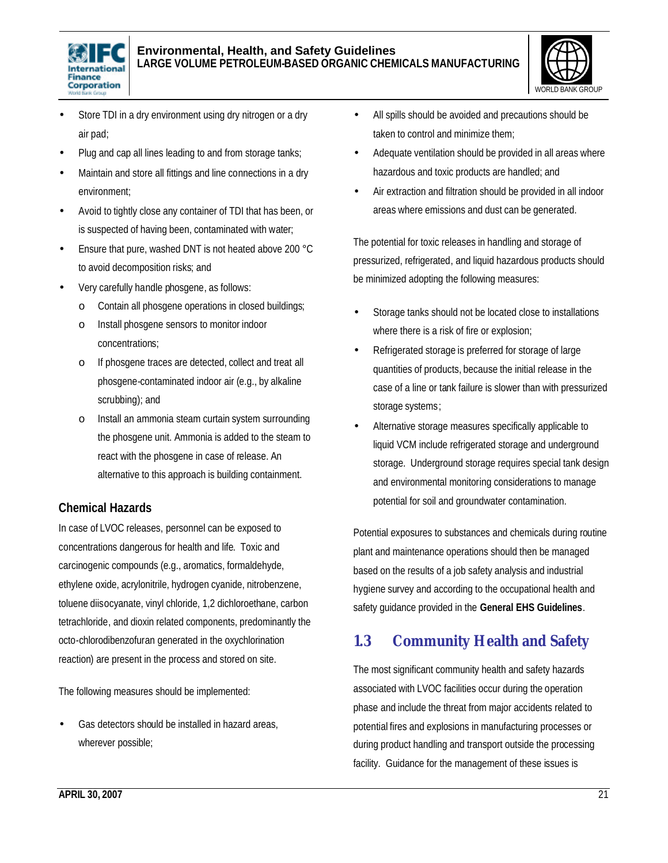



- Store TDI in a dry environment using dry nitrogen or a dry air pad;
- Plug and cap all lines leading to and from storage tanks;
- Maintain and store all fittings and line connections in a dry environment;
- Avoid to tightly close any container of TDI that has been, or is suspected of having been, contaminated with water;
- Ensure that pure, washed DNT is not heated above 200 °C to avoid decomposition risks; and
- Very carefully handle phosgene, as follows:
	- o Contain all phosgene operations in closed buildings;
	- o Install phosgene sensors to monitor indoor concentrations;
	- o If phosgene traces are detected, collect and treat all phosgene-contaminated indoor air (e.g., by alkaline scrubbing); and
	- Install an ammonia steam curtain system surrounding the phosgene unit. Ammonia is added to the steam to react with the phosgene in case of release. An alternative to this approach is building containment.

# **Chemical Hazards**

In case of LVOC releases, personnel can be exposed to concentrations dangerous for health and life. Toxic and carcinogenic compounds (e.g., aromatics, formaldehyde, ethylene oxide, acrylonitrile, hydrogen cyanide, nitrobenzene, toluene diisocyanate, vinyl chloride, 1,2 dichloroethane, carbon tetrachloride, and dioxin related components, predominantly the octo-chlorodibenzofuran generated in the oxychlorination reaction) are present in the process and stored on site.

The following measures should be implemented:

Gas detectors should be installed in hazard areas, wherever possible;

- All spills should be avoided and precautions should be taken to control and minimize them;
- Adequate ventilation should be provided in all areas where hazardous and toxic products are handled; and
- Air extraction and filtration should be provided in all indoor areas where emissions and dust can be generated.

The potential for toxic releases in handling and storage of pressurized, refrigerated, and liquid hazardous products should be minimized adopting the following measures:

- Storage tanks should not be located close to installations where there is a risk of fire or explosion;
- Refrigerated storage is preferred for storage of large quantities of products, because the initial release in the case of a line or tank failure is slower than with pressurized storage systems;
- Alternative storage measures specifically applicable to liquid VCM include refrigerated storage and underground storage. Underground storage requires special tank design and environmental monitoring considerations to manage potential for soil and groundwater contamination.

Potential exposures to substances and chemicals during routine plant and maintenance operations should then be managed based on the results of a job safety analysis and industrial hygiene survey and according to the occupational health and safety guidance provided in the **General EHS Guidelines**.

# **1.3 Community Health and Safety**

The most significant community health and safety hazards associated with LVOC facilities occur during the operation phase and include the threat from major accidents related to potential fires and explosions in manufacturing processes or during product handling and transport outside the processing facility. Guidance for the management of these issues is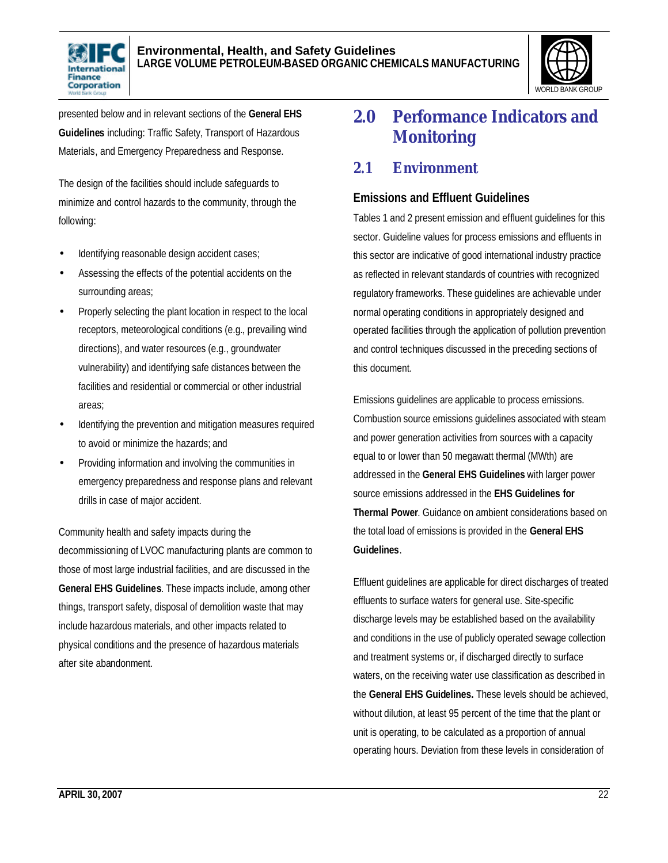



presented below and in relevant sections of the **General EHS Guidelines** including: Traffic Safety, Transport of Hazardous Materials, and Emergency Preparedness and Response.

The design of the facilities should include safeguards to minimize and control hazards to the community, through the following:

- Identifying reasonable design accident cases;
- Assessing the effects of the potential accidents on the surrounding areas;
- Properly selecting the plant location in respect to the local receptors, meteorological conditions (e.g., prevailing wind directions), and water resources (e.g., groundwater vulnerability) and identifying safe distances between the facilities and residential or commercial or other industrial areas;
- Identifying the prevention and mitigation measures required to avoid or minimize the hazards; and
- Providing information and involving the communities in emergency preparedness and response plans and relevant drills in case of major accident.

Community health and safety impacts during the decommissioning of LVOC manufacturing plants are common to those of most large industrial facilities, and are discussed in the **General EHS Guidelines**. These impacts include, among other things, transport safety, disposal of demolition waste that may include hazardous materials, and other impacts related to physical conditions and the presence of hazardous materials after site abandonment.

# **2.0 Performance Indicators and Monitoring**

# **2.1 Environment**

### **Emissions and Effluent Guidelines**

Tables 1 and 2 present emission and effluent guidelines for this sector. Guideline values for process emissions and effluents in this sector are indicative of good international industry practice as reflected in relevant standards of countries with recognized regulatory frameworks. These guidelines are achievable under normal operating conditions in appropriately designed and operated facilities through the application of pollution prevention and control techniques discussed in the preceding sections of this document.

Emissions guidelines are applicable to process emissions. Combustion source emissions guidelines associated with steam and power generation activities from sources with a capacity equal to or lower than 50 megawatt thermal (MWth) are addressed in the **General EHS Guidelines** with larger power source emissions addressed in the **EHS Guidelines for Thermal Power**. Guidance on ambient considerations based on the total load of emissions is provided in the **General EHS Guidelines**.

Effluent guidelines are applicable for direct discharges of treated effluents to surface waters for general use. Site-specific discharge levels may be established based on the availability and conditions in the use of publicly operated sewage collection and treatment systems or, if discharged directly to surface waters, on the receiving water use classification as described in the **General EHS Guidelines.** These levels should be achieved, without dilution, at least 95 percent of the time that the plant or unit is operating, to be calculated as a proportion of annual operating hours. Deviation from these levels in consideration of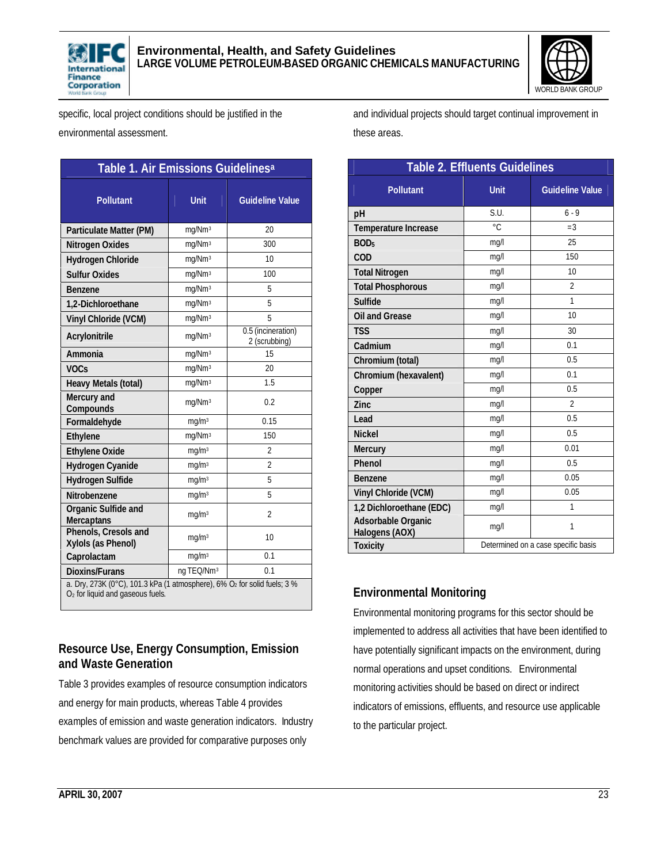



specific, local project conditions should be justified in the environmental assessment.

| Table 1. Air Emissions Guidelines <sup>a</sup>                                                                                       |                        |                                     |  |  |  |
|--------------------------------------------------------------------------------------------------------------------------------------|------------------------|-------------------------------------|--|--|--|
| <b>Pollutant</b>                                                                                                                     | <b>Unit</b>            | <b>Guideline Value</b>              |  |  |  |
| Particulate Matter (PM)                                                                                                              | mq/Nm <sup>3</sup>     | 20                                  |  |  |  |
| <b>Nitrogen Oxides</b>                                                                                                               | mg/Nm <sup>3</sup>     | 300                                 |  |  |  |
| <b>Hydrogen Chloride</b>                                                                                                             | mg/Nm <sup>3</sup>     | 10                                  |  |  |  |
| <b>Sulfur Oxides</b>                                                                                                                 | mg/Nm <sup>3</sup>     | 100                                 |  |  |  |
| <b>Benzene</b>                                                                                                                       | mg/Nm <sup>3</sup>     | 5                                   |  |  |  |
| 1,2-Dichloroethane                                                                                                                   | mg/Nm <sup>3</sup>     | 5                                   |  |  |  |
| Vinyl Chloride (VCM)                                                                                                                 | mg/Nm <sup>3</sup>     | 5                                   |  |  |  |
| Acrylonitrile                                                                                                                        | mg/Nm <sup>3</sup>     | 0.5 (incineration)<br>2 (scrubbing) |  |  |  |
| Ammonia                                                                                                                              | mg/Nm <sup>3</sup>     | 15                                  |  |  |  |
| <b>VOCs</b>                                                                                                                          | mg/Nm <sup>3</sup>     | 20                                  |  |  |  |
| Heavy Metals (total)                                                                                                                 | mg/Nm <sup>3</sup>     | 1.5                                 |  |  |  |
| Mercury and<br>Compounds                                                                                                             | mg/Nm <sup>3</sup>     | 0.2                                 |  |  |  |
| Formaldehyde                                                                                                                         | mg/m <sup>3</sup>      | 0.15                                |  |  |  |
| Ethylene                                                                                                                             | mg/Nm <sup>3</sup>     | 150                                 |  |  |  |
| <b>Ethylene Oxide</b>                                                                                                                | mq/m <sup>3</sup>      | $\overline{2}$                      |  |  |  |
| <b>Hydrogen Cyanide</b>                                                                                                              | mq/m <sup>3</sup>      | 2                                   |  |  |  |
| <b>Hydrogen Sulfide</b>                                                                                                              | mq/m <sup>3</sup>      | 5                                   |  |  |  |
| Nitrobenzene                                                                                                                         | mq/m <sup>3</sup>      | 5                                   |  |  |  |
| Organic Sulfide and<br>Mercaptans                                                                                                    | mq/m <sup>3</sup>      | $\overline{2}$                      |  |  |  |
| Phenols, Cresols and<br>Xylols (as Phenol)                                                                                           | mq/m <sup>3</sup>      | 10                                  |  |  |  |
| Caprolactam                                                                                                                          | mg/m <sup>3</sup>      | 0.1                                 |  |  |  |
| <b>Dioxins/Furans</b>                                                                                                                | ng TEQ/Nm <sup>3</sup> | 0.1                                 |  |  |  |
| a. Dry, 273K (0°C), 101.3 kPa (1 atmosphere), 6% O <sub>2</sub> for solid fuels; 3 %<br>O <sub>2</sub> for liquid and gaseous fuels. |                        |                                     |  |  |  |

# **Resource Use, Energy Consumption, Emission and Waste Generation**

Table 3 provides examples of resource consumption indicators and energy for main products, whereas Table 4 provides examples of emission and waste generation indicators. Industry benchmark values are provided for comparative purposes only

and individual projects should target continual improvement in these areas.

| <b>Table 2. Effluents Guidelines</b> |                                     |                        |  |  |  |
|--------------------------------------|-------------------------------------|------------------------|--|--|--|
| <b>Pollutant</b>                     | Unit                                | <b>Guideline Value</b> |  |  |  |
| pH                                   | S.U.                                | $6 - 9$                |  |  |  |
| <b>Temperature Increase</b>          | $^{\circ}$ C                        | $=$ 3                  |  |  |  |
| BOD <sub>5</sub>                     | mg/l                                | 25                     |  |  |  |
| COD                                  | mg/l                                | 150                    |  |  |  |
| <b>Total Nitrogen</b>                | mq/l                                | 10                     |  |  |  |
| <b>Total Phosphorous</b>             | mg/l                                | $\overline{2}$         |  |  |  |
| <b>Sulfide</b>                       | mg/l                                | $\mathbf{1}$           |  |  |  |
| <b>Oil and Grease</b>                | mg/l                                | 10                     |  |  |  |
| <b>TSS</b>                           | mg/l                                | 30                     |  |  |  |
| Cadmium                              | mg/l                                | 0.1                    |  |  |  |
| Chromium (total)                     | mg/l                                | 0.5                    |  |  |  |
| Chromium (hexavalent)                | mg/l                                | 0.1                    |  |  |  |
| Copper                               | mg/l                                | 0.5                    |  |  |  |
| Zinc                                 | mq/1                                | $\overline{2}$         |  |  |  |
| Lead                                 | mg/l                                | 0.5                    |  |  |  |
| <b>Nickel</b>                        | mq/l                                | 0.5                    |  |  |  |
| <b>Mercury</b>                       | mg/l                                | 0.01                   |  |  |  |
| Phenol                               | mg/l                                | 0.5                    |  |  |  |
| <b>Benzene</b>                       | mq/l                                | 0.05                   |  |  |  |
| Vinyl Chloride (VCM)                 | mg/l                                | 0.05                   |  |  |  |
| 1,2 Dichloroethane (EDC)             | mg/l                                | 1                      |  |  |  |
| Adsorbable Organic<br>Halogens (AOX) | mg/l                                | $\mathbf{1}$           |  |  |  |
| <b>Toxicity</b>                      | Determined on a case specific basis |                        |  |  |  |

# **Environmental Monitoring**

Environmental monitoring programs for this sector should be implemented to address all activities that have been identified to have potentially significant impacts on the environment, during normal operations and upset conditions. Environmental monitoring activities should be based on direct or indirect indicators of emissions, effluents, and resource use applicable to the particular project.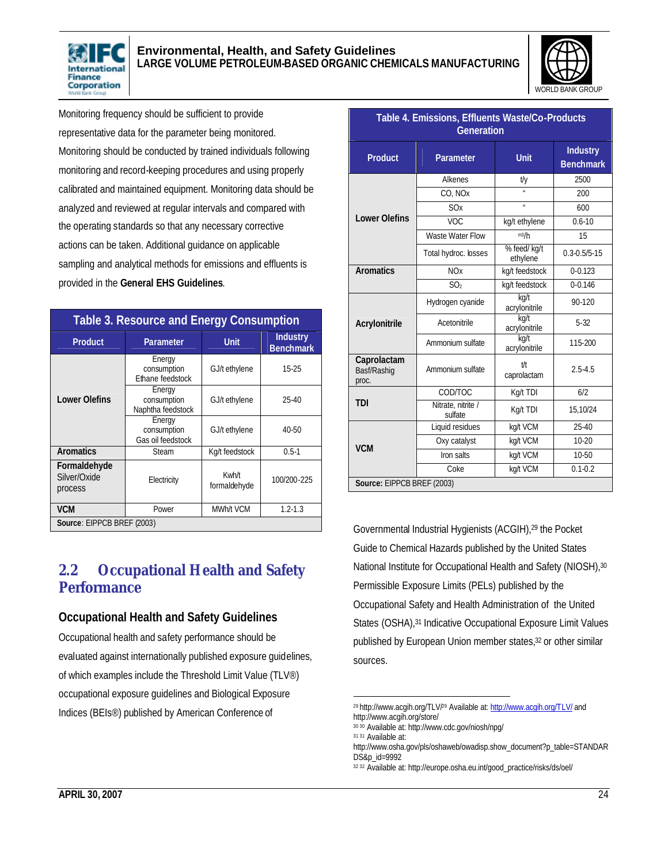



Monitoring frequency should be sufficient to provide representative data for the parameter being monitored. Monitoring should be conducted by trained individuals following monitoring and record-keeping procedures and using properly calibrated and maintained equipment. Monitoring data should be analyzed and reviewed at regular intervals and compared with the operating standards so that any necessary corrective actions can be taken. Additional guidance on applicable sampling and analytical methods for emissions and effluents is provided in the **General EHS Guidelines**.

| <b>Table 3. Resource and Energy Consumption</b> |                                            |                       |                                     |  |  |
|-------------------------------------------------|--------------------------------------------|-----------------------|-------------------------------------|--|--|
| <b>Product</b>                                  | <b>Parameter</b>                           | <b>Unit</b>           | <b>Industry</b><br><b>Benchmark</b> |  |  |
| Lower Olefins                                   | Energy<br>consumption<br>Ethane feedstock  | GJ/t ethylene         | 15-25                               |  |  |
|                                                 | Energy<br>consumption<br>Naphtha feedstock | GJ/t ethylene         | $25-40$                             |  |  |
|                                                 | Energy<br>consumption<br>Gas oil feedstock | GJ/t ethylene         | $40 - 50$                           |  |  |
| <b>Aromatics</b>                                | Steam                                      | Kg/t feedstock        | $0.5 - 1$                           |  |  |
| Formaldehyde<br>Silver/Oxide<br>process         | Electricity                                | Kwh/t<br>formaldehyde | 100/200-225                         |  |  |
| <b>VCM</b>                                      | Power                                      | MWh/t VCM             | $1.2 - 1.3$                         |  |  |
| Source: EIPPCB BREF (2003)                      |                                            |                       |                                     |  |  |

# **2.2 Occupational Health and Safety Performance**

# **Occupational Health and Safety Guidelines**

Occupational health and safety performance should be evaluated against internationally published exposure guidelines, of which examples include the Threshold Limit Value (TLV®) occupational exposure guidelines and Biological Exposure Indices (BEIs®) published by American Conference of

| Table 4. Emissions, Effluents Waste/Co-Products<br><b>Generation</b> |                               |                          |                                     |  |  |
|----------------------------------------------------------------------|-------------------------------|--------------------------|-------------------------------------|--|--|
| <b>Product</b>                                                       | <b>Parameter</b>              | <b>Unit</b>              | <b>Industry</b><br><b>Benchmark</b> |  |  |
|                                                                      | <b>Alkenes</b>                | t/y                      | 2500                                |  |  |
|                                                                      | CO, NOx                       | $\mathbf{u}$             | 200                                 |  |  |
|                                                                      | SOx                           | $\mathbf{u}$             | 600                                 |  |  |
| <b>Lower Olefins</b>                                                 | VOC.                          | kg/t ethylene            | $0.6 - 10$                          |  |  |
|                                                                      | Waste Water Flow              | m3/h                     | 15                                  |  |  |
|                                                                      | Total hydroc. losses          | % feed/ kg/t<br>ethylene | $0.3 - 0.5/5 - 15$                  |  |  |
| <b>Aromatics</b>                                                     | <b>NOx</b>                    | kg/t feedstock           | $0 - 0.123$                         |  |  |
|                                                                      | SO <sub>2</sub>               | kg/t feedstock           | $0 - 0.146$                         |  |  |
| Acrylonitrile                                                        | Hydrogen cyanide              | kg/t<br>acrylonitrile    | 90-120                              |  |  |
|                                                                      | Acetonitrile                  | kg/t<br>acrylonitrile    | $5 - 32$                            |  |  |
|                                                                      | Ammonium sulfate              | kg/t<br>acrylonitrile    | 115-200                             |  |  |
| Caprolactam<br>Basf/Rashig<br>proc.                                  | Ammonium sulfate              | t/t<br>caprolactam       | $2.5 - 4.5$                         |  |  |
| <b>TDI</b>                                                           | COD/TOC                       | Kg/t TDI                 | 6/2                                 |  |  |
|                                                                      | Nitrate, nitrite /<br>sulfate | Kg/t TDI                 | 15,10/24                            |  |  |
| <b>VCM</b>                                                           | Liquid residues               | kg/t VCM                 | 25-40                               |  |  |
|                                                                      | Oxy catalyst                  | kg/t VCM                 | $10 - 20$                           |  |  |
|                                                                      | Iron salts                    | kg/t VCM                 | 10-50                               |  |  |
|                                                                      | Coke                          | kg/t VCM                 | $0.1 - 0.2$                         |  |  |
| Source: EIPPCB BREF (2003)                                           |                               |                          |                                     |  |  |

Governmental Industrial Hygienists (ACGIH),29 the Pocket Guide to Chemical Hazards published by the United States National Institute for Occupational Health and Safety (NIOSH),<sup>30</sup> Permissible Exposure Limits (PELs) published by the Occupational Safety and Health Administration of the United States (OSHA),<sup>31</sup> Indicative Occupational Exposure Limit Values published by European Union member states,<sup>32</sup> or other similar sources.

 $\overline{a}$ <sup>29</sup> http://www.acgih.org/TLV/<sup>29</sup> Available at: http://www.acgih.org/TLV/ and http://www.acgih.org/store/

<sup>30</sup> <sup>30</sup> Available at: http://www.cdc.gov/niosh/npg/

<sup>31</sup> <sup>31</sup> Available at:

http://www.osha.gov/pls/oshaweb/owadisp.show\_document?p\_table=STANDAR DS&p\_id=9992

<sup>32</sup> <sup>32</sup> Available at: http://europe.osha.eu.int/good\_practice/risks/ds/oel/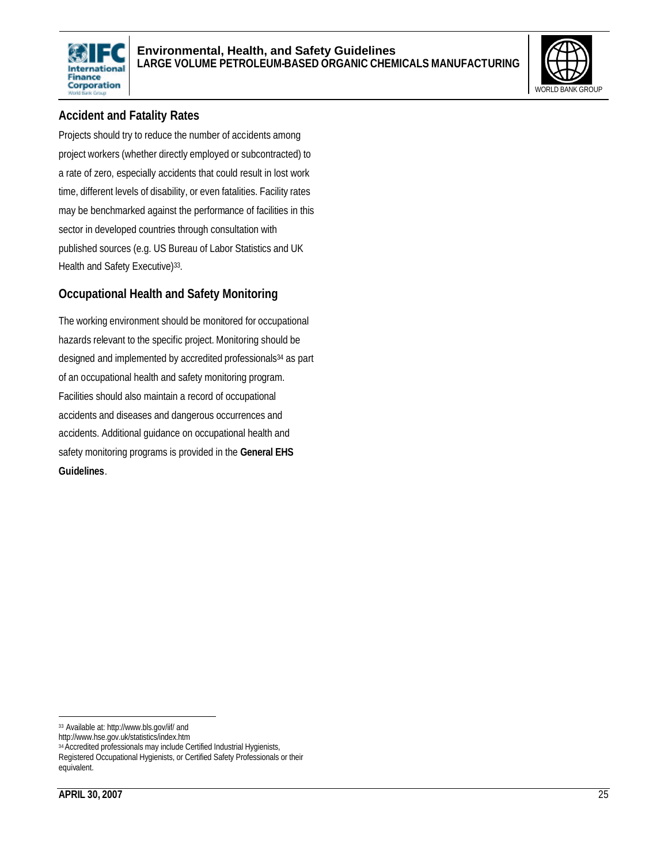



# **Accident and Fatality Rates**

Projects should try to reduce the number of accidents among project workers (whether directly employed or subcontracted) to a rate of zero, especially accidents that could result in lost work time, different levels of disability, or even fatalities. Facility rates may be benchmarked against the performance of facilities in this sector in developed countries through consultation with published sources (e.g. US Bureau of Labor Statistics and UK Health and Safety Executive)<sup>33</sup>.

# **Occupational Health and Safety Monitoring**

The working environment should be monitored for occupational hazards relevant to the specific project. Monitoring should be designed and implemented by accredited professionals<sup>34</sup> as part of an occupational health and safety monitoring program. Facilities should also maintain a record of occupational accidents and diseases and dangerous occurrences and accidents. Additional guidance on occupational health and safety monitoring programs is provided in the **General EHS Guidelines**.

 $\overline{a}$ 

<sup>33</sup> Available at: http://www.bls.gov/iif/ and

http://www.hse.gov.uk/statistics/index.htm

<sup>34</sup> Accredited professionals may include Certified Industrial Hygienists,

Registered Occupational Hygienists, or Certified Safety Professionals or their equivalent.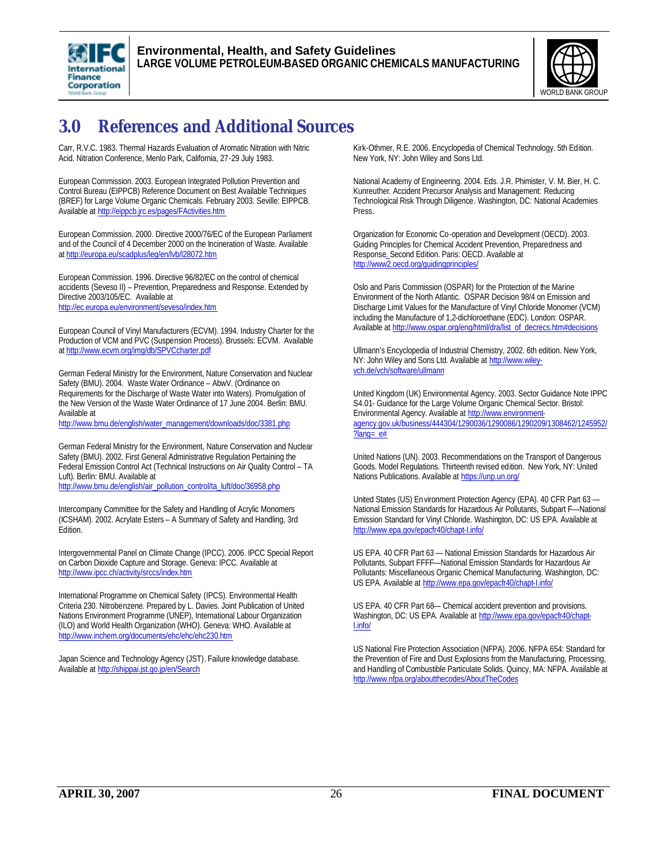



# **3.0 References and Additional Sources**

Carr, R.V.C. 1983. Thermal Hazards Evaluation of Aromatic Nitration with Nitric Acid. Nitration Conference, Menlo Park, California, 27-29 July 1983.

European Commission. 2003. European Integrated Pollution Prevention and Control Bureau (EIPPCB) Reference Document on Best Available Techniques (BREF) for Large Volume Organic Chemicals. February 2003. Seville: EIPPCB. Available at http://eippcb.jrc.es/pages/FActivities.htm

European Commission. 2000. Directive 2000/76/EC of the European Parliament and of the Council of 4 December 2000 on the Incineration of Waste. Available at http://europa.eu/scadplus/leg/en/lvb/l28072.htm

European Commission. 1996. Directive 96/82/EC on the control of chemical accidents (Seveso II) – Prevention, Preparedness and Response. Extended by Directive 2003/105/EC. Available at http://ec.europa.eu/environment/seveso/index.htm

European Council of Vinyl Manufacturers (ECVM). 1994. Industry Charter for the Production of VCM and PVC (Suspension Process). Brussels: ECVM. Available at http://www.ecvm.org/img/db/SPVCcharter.pdf

German Federal Ministry for the Environment, Nature Conservation and Nuclear Safety (BMU). 2004. Waste Water Ordinance – AbwV. (Ordinance on Requirements for the Discharge of Waste Water into Waters). Promulgation of the New Version of the Waste Water Ordinance of 17 June 2004. Berlin: BMU. Available at

http://www.bmu.de/english/water\_management/downloads/doc/3381.php

German Federal Ministry for the Environment, Nature Conservation and Nuclear Safety (BMU). 2002. First General Administrative Regulation Pertaining the Federal Emission Control Act (Technical Instructions on Air Quality Control – TA Luft). Berlin: BMU. Available at http://www.bmu.de/english/air\_pollution\_control/ta\_luft/doc/36958.php

Intercompany Committee for the Safety and Handling of Acrylic Monomers (ICSHAM). 2002. Acrylate Esters – A Summary of Safety and Handling, 3rd Edition.

Intergovernmental Panel on Climate Change (IPCC). 2006. IPCC Special Report on Carbon Dioxide Capture and Storage. Geneva: IPCC. Available at http://www.ipcc.ch/activity/srccs/index.htm

International Programme on Chemical Safety (IPCS). Environmental Health Criteria 230. Nitrobenzen*e.* Prepared by L. Davies. Joint Publication of United Nations Environment Programme (UNEP), International Labour Organization (ILO) and World Health Organization (WHO). Geneva: WHO. Available at http://www.inchem.org/documents/ehc/ehc/ehc230.htm

Japan Science and Technology Agency (JST). Failure knowledge database. Available at http://shippai.jst.go.jp/en/Search

Kirk-Othmer, R.E. 2006. Encyclopedia of Chemical Technology. 5th Edition. New York, NY: John Wiley and Sons Ltd.

National Academy of Engineering. 2004. Eds. J.R. Phimister, V. M. Bier, H. C. Kunreuther. Accident Precursor Analysis and Management: Reducing Technological Risk Through Diligence. Washington, DC: National Academies Press.

Organization for Economic Co-operation and Development (OECD). 2003. Guiding Principles for Chemical Accident Prevention, Preparedness and Response. Second Edition. Paris: OECD. Available at http://www2.oecd.org/guidingprinciples/

Oslo and Paris Commission (OSPAR) for the Protection of the Marine Environment of the North Atlantic. OSPAR Decision 98/4 on Emission and Discharge Limit Values for the Manufacture of Vinyl Chloride Monomer (VCM) including the Manufacture of 1,2-dichloroethane (EDC). London: OSPAR. Available at http://www.ospar.org/eng/html/dra/list\_of\_decrecs.htm#decisions

Ullmann's Encyclopedia of Industrial Chemistry, 2002. 6th edition. New York, NY: John Wiley and Sons Ltd. Available at http://www.wileyvch.de/vch/software/ullmann

United Kingdom (UK) Environmental Agency. 2003. Sector Guidance Note IPPC S4.01- Guidance for the Large Volume Organic Chemical Sector. Bristol: Environmental Agency. Available at http://www.environmentagency.gov.uk/business/444304/1290036/1290086/1290209/1308462/1245952/ ?lang= $e#$ 

United Nations (UN). 2003. Recommendations on the Transport of Dangerous Goods. Model Regulations. Thirteenth revised edition. New York, NY: United Nations Publications. Available at https://unp.un.org/

United States (US) Environment Protection Agency (EPA). 40 CFR Part 63 — National Emission Standards for Hazardous Air Pollutants, Subpart F—National Emission Standard for Vinyl Chloride. Washington, DC: US EPA. Available at http://www.epa.gov/epacfr40/chapt-I.info/

US EPA. 40 CFR Part 63 — National Emission Standards for Hazardous Air Pollutants, Subpart FFFF—National Emission Standards for Hazardous Air Pollutants: Miscellaneous Organic Chemical Manufacturing. Washington, DC: US EPA. Available at http://www.epa.gov/epacfr40/chapt-I.info/

US EPA. 40 CFR Part 68— Chemical accident prevention and provisions. Washington, DC: US EPA. Available at http://www.epa.gov/epacfr40/chapt-I.info/

US National Fire Protection Association (NFPA). 2006. NFPA 654: Standard for the Prevention of Fire and Dust Explosions from the Manufacturing, Processing, and Handling of Combustible Particulate Solids. Quincy, MA: NFPA. Available at http://www.nfpa.org/aboutthecodes/AboutTheCodes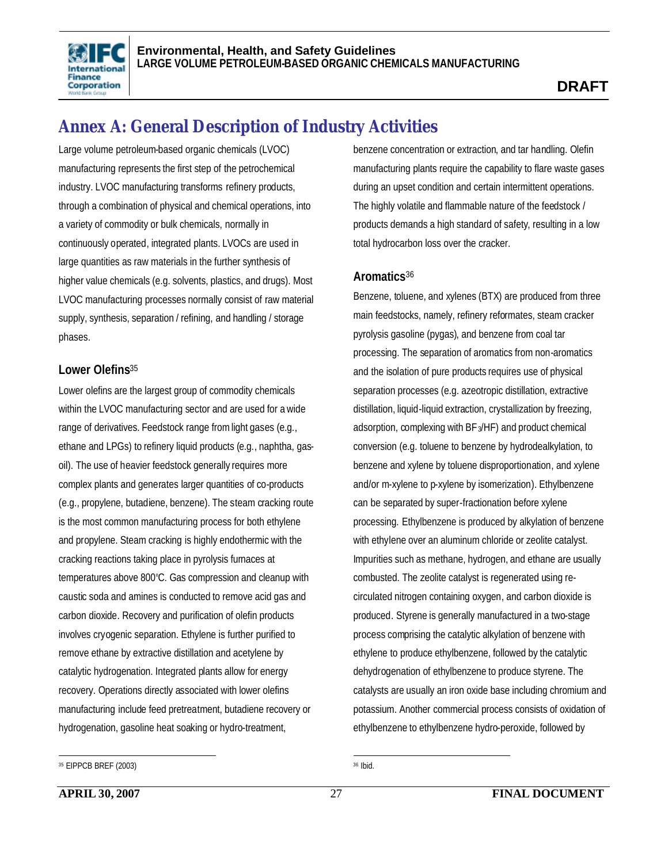

# **Annex A: General Description of Industry Activities**

Large volume petroleum-based organic chemicals (LVOC) manufacturing represents the first step of the petrochemical industry. LVOC manufacturing transforms refinery products, through a combination of physical and chemical operations, into a variety of commodity or bulk chemicals, normally in continuously operated, integrated plants. LVOCs are used in large quantities as raw materials in the further synthesis of higher value chemicals (e.g. solvents, plastics, and drugs). Most LVOC manufacturing processes normally consist of raw material supply, synthesis, separation / refining, and handling / storage phases.

### **Lower Olefins**<sup>35</sup>

Lower olefins are the largest group of commodity chemicals within the LVOC manufacturing sector and are used for a wide range of derivatives. Feedstock range from light gases (e.g., ethane and LPGs) to refinery liquid products (e.g., naphtha, gasoil). The use of heavier feedstock generally requires more complex plants and generates larger quantities of co-products (e.g., propylene, butadiene, benzene). The steam cracking route is the most common manufacturing process for both ethylene and propylene. Steam cracking is highly endothermic with the cracking reactions taking place in pyrolysis furnaces at temperatures above 800ºC. Gas compression and cleanup with caustic soda and amines is conducted to remove acid gas and carbon dioxide. Recovery and purification of olefin products involves cryogenic separation. Ethylene is further purified to remove ethane by extractive distillation and acetylene by catalytic hydrogenation. Integrated plants allow for energy recovery. Operations directly associated with lower olefins manufacturing include feed pretreatment, butadiene recovery or hydrogenation, gasoline heat soaking or hydro-treatment,

benzene concentration or extraction, and tar handling. Olefin manufacturing plants require the capability to flare waste gases during an upset condition and certain intermittent operations. The highly volatile and flammable nature of the feedstock / products demands a high standard of safety, resulting in a low total hydrocarbon loss over the cracker.

# **Aromatics**<sup>36</sup>

Benzene, toluene, and xylenes (BTX) are produced from three main feedstocks, namely, refinery reformates, steam cracker pyrolysis gasoline (pygas), and benzene from coal tar processing. The separation of aromatics from non-aromatics and the isolation of pure products requires use of physical separation processes (e.g. azeotropic distillation, extractive distillation, liquid-liquid extraction, crystallization by freezing, adsorption, complexing with BF3/HF) and product chemical conversion (e.g. toluene to benzene by hydrodealkylation, to benzene and xylene by toluene disproportionation, and xylene and/or m-xylene to p-xylene by isomerization). Ethylbenzene can be separated by super-fractionation before xylene processing. Ethylbenzene is produced by alkylation of benzene with ethylene over an aluminum chloride or zeolite catalyst. Impurities such as methane, hydrogen, and ethane are usually combusted. The zeolite catalyst is regenerated using recirculated nitrogen containing oxygen, and carbon dioxide is produced. Styrene is generally manufactured in a two-stage process comprising the catalytic alkylation of benzene with ethylene to produce ethylbenzene, followed by the catalytic dehydrogenation of ethylbenzene to produce styrene. The catalysts are usually an iron oxide base including chromium and potassium. Another commercial process consists of oxidation of ethylbenzene to ethylbenzene hydro-peroxide, followed by

 $\overline{a}$ <sup>35</sup> EIPPCB BREF (2003)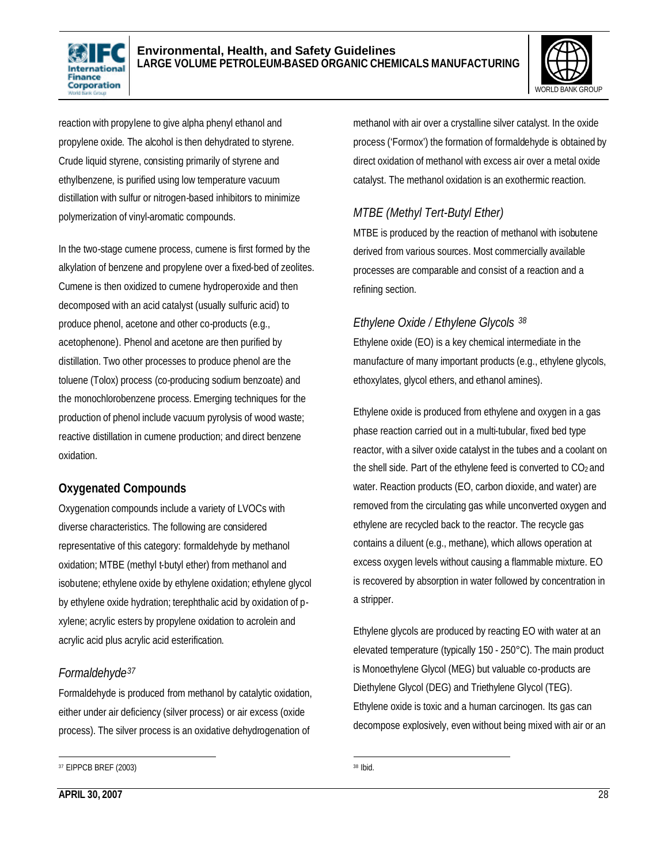



reaction with propylene to give alpha phenyl ethanol and propylene oxide. The alcohol is then dehydrated to styrene. Crude liquid styrene, consisting primarily of styrene and ethylbenzene, is purified using low temperature vacuum distillation with sulfur or nitrogen-based inhibitors to minimize polymerization of vinyl-aromatic compounds.

In the two-stage cumene process, cumene is first formed by the alkylation of benzene and propylene over a fixed-bed of zeolites. Cumene is then oxidized to cumene hydroperoxide and then decomposed with an acid catalyst (usually sulfuric acid) to produce phenol, acetone and other co-products (e.g., acetophenone). Phenol and acetone are then purified by distillation. Two other processes to produce phenol are the toluene (Tolox) process (co-producing sodium benzoate) and the monochlorobenzene process. Emerging techniques for the production of phenol include vacuum pyrolysis of wood waste; reactive distillation in cumene production; and direct benzene oxidation.

# **Oxygenated Compounds**

Oxygenation compounds include a variety of LVOCs with diverse characteristics. The following are considered representative of this category: formaldehyde by methanol oxidation; MTBE (methyl t-butyl ether) from methanol and isobutene; ethylene oxide by ethylene oxidation; ethylene glycol by ethylene oxide hydration; terephthalic acid by oxidation of pxylene; acrylic esters by propylene oxidation to acrolein and acrylic acid plus acrylic acid esterification.

# *Formaldehyde<sup>37</sup>*

Formaldehyde is produced from methanol by catalytic oxidation, either under air deficiency (silver process) or air excess (oxide process). The silver process is an oxidative dehydrogenation of

l <sup>37</sup> EIPPCB BREF (2003) methanol with air over a crystalline silver catalyst. In the oxide process ('Formox') the formation of formaldehyde is obtained by direct oxidation of methanol with excess air over a metal oxide catalyst. The methanol oxidation is an exothermic reaction.

# *MTBE (Methyl Tert-Butyl Ether)*

MTBE is produced by the reaction of methanol with isobutene derived from various sources. Most commercially available processes are comparable and consist of a reaction and a refining section.

# *Ethylene Oxide / Ethylene Glycols <sup>38</sup>*

Ethylene oxide (EO) is a key chemical intermediate in the manufacture of many important products (e.g., ethylene glycols, ethoxylates, glycol ethers, and ethanol amines).

Ethylene oxide is produced from ethylene and oxygen in a gas phase reaction carried out in a multi-tubular, fixed bed type reactor, with a silver oxide catalyst in the tubes and a coolant on the shell side. Part of the ethylene feed is converted to CO2 and water. Reaction products (EO, carbon dioxide, and water) are removed from the circulating gas while unconverted oxygen and ethylene are recycled back to the reactor. The recycle gas contains a diluent (e.g., methane), which allows operation at excess oxygen levels without causing a flammable mixture. EO is recovered by absorption in water followed by concentration in a stripper.

Ethylene glycols are produced by reacting EO with water at an elevated temperature (typically 150 - 250°C). The main product is Monoethylene Glycol (MEG) but valuable co-products are Diethylene Glycol (DEG) and Triethylene Glycol (TEG). Ethylene oxide is toxic and a human carcinogen. Its gas can decompose explosively, even without being mixed with air or an

l <sup>38</sup> Ibid.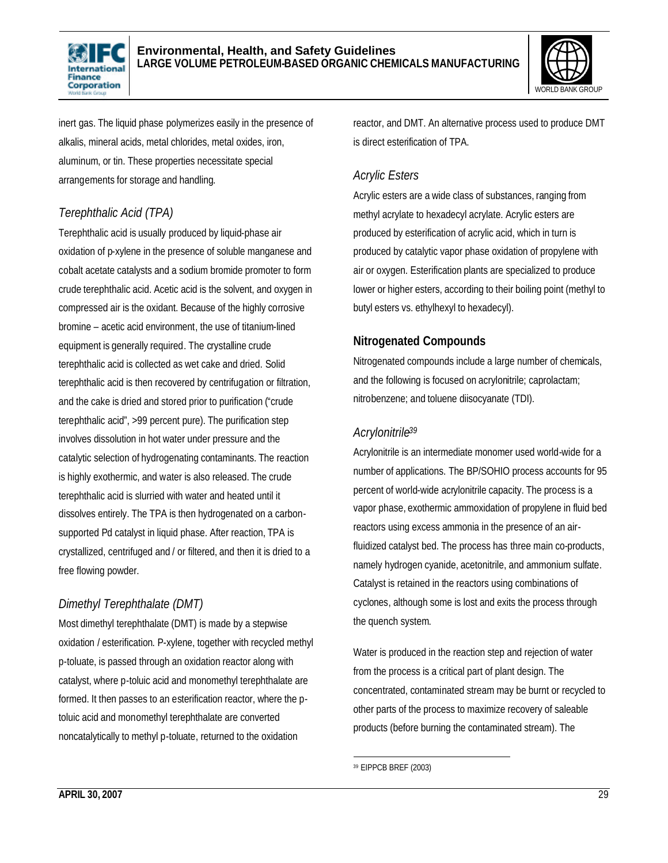



inert gas. The liquid phase polymerizes easily in the presence of alkalis, mineral acids, metal chlorides, metal oxides, iron, aluminum, or tin. These properties necessitate special arrangements for storage and handling.

### *Terephthalic Acid (TPA)*

Terephthalic acid is usually produced by liquid-phase air oxidation of p-xylene in the presence of soluble manganese and cobalt acetate catalysts and a sodium bromide promoter to form crude terephthalic acid. Acetic acid is the solvent, and oxygen in compressed air is the oxidant. Because of the highly corrosive bromine – acetic acid environment, the use of titanium-lined equipment is generally required. The crystalline crude terephthalic acid is collected as wet cake and dried. Solid terephthalic acid is then recovered by centrifugation or filtration, and the cake is dried and stored prior to purification ("crude terephthalic acid", >99 percent pure). The purification step involves dissolution in hot water under pressure and the catalytic selection of hydrogenating contaminants. The reaction is highly exothermic, and water is also released. The crude terephthalic acid is slurried with water and heated until it dissolves entirely. The TPA is then hydrogenated on a carbonsupported Pd catalyst in liquid phase. After reaction, TPA is crystallized, centrifuged and / or filtered, and then it is dried to a free flowing powder.

# *Dimethyl Terephthalate (DMT)*

Most dimethyl terephthalate (DMT) is made by a stepwise oxidation / esterification. P-xylene, together with recycled methyl p-toluate, is passed through an oxidation reactor along with catalyst, where p-toluic acid and monomethyl terephthalate are formed. It then passes to an esterification reactor, where the ptoluic acid and monomethyl terephthalate are converted noncatalytically to methyl p-toluate, returned to the oxidation

reactor, and DMT. An alternative process used to produce DMT is direct esterification of TPA.

# *Acrylic Esters*

Acrylic esters are a wide class of substances, ranging from methyl acrylate to hexadecyl acrylate. Acrylic esters are produced by esterification of acrylic acid, which in turn is produced by catalytic vapor phase oxidation of propylene with air or oxygen. Esterification plants are specialized to produce lower or higher esters, according to their boiling point (methyl to butyl esters vs. ethylhexyl to hexadecyl).

# **Nitrogenated Compounds**

Nitrogenated compounds include a large number of chemicals, and the following is focused on acrylonitrile; caprolactam; nitrobenzene; and toluene diisocyanate (TDI).

### *Acrylonitrile<sup>39</sup>*

Acrylonitrile is an intermediate monomer used world-wide for a number of applications. The BP/SOHIO process accounts for 95 percent of world-wide acrylonitrile capacity. The process is a vapor phase, exothermic ammoxidation of propylene in fluid bed reactors using excess ammonia in the presence of an airfluidized catalyst bed. The process has three main co-products, namely hydrogen cyanide, acetonitrile, and ammonium sulfate. Catalyst is retained in the reactors using combinations of cyclones, although some is lost and exits the process through the quench system.

Water is produced in the reaction step and rejection of water from the process is a critical part of plant design. The concentrated, contaminated stream may be burnt or recycled to other parts of the process to maximize recovery of saleable products (before burning the contaminated stream). The

l <sup>39</sup> EIPPCB BREF (2003)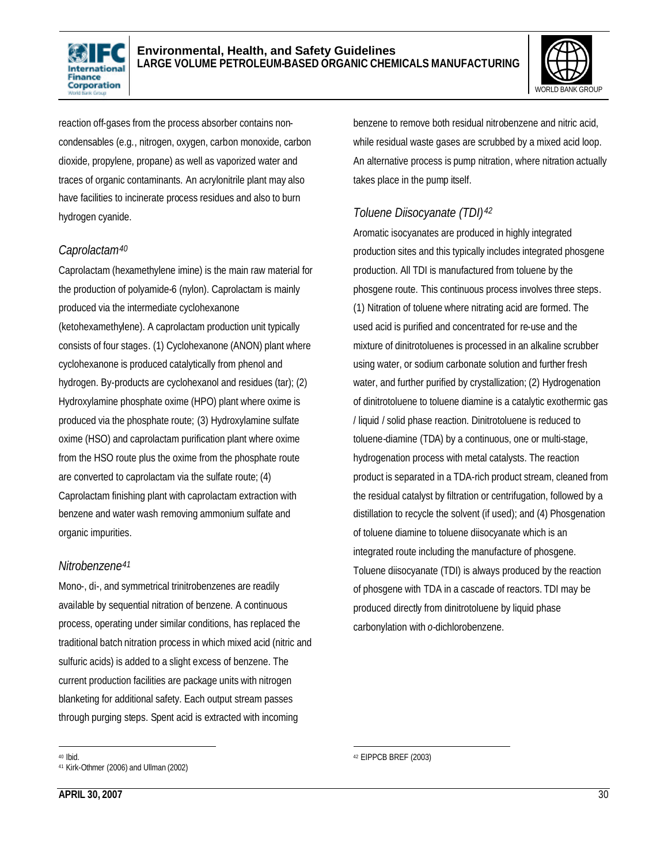



reaction off-gases from the process absorber contains noncondensables (e.g., nitrogen, oxygen, carbon monoxide, carbon dioxide, propylene, propane) as well as vaporized water and traces of organic contaminants. An acrylonitrile plant may also have facilities to incinerate process residues and also to burn hydrogen cyanide.

### *Caprolactam<sup>40</sup>*

Caprolactam (hexamethylene imine) is the main raw material for the production of polyamide-6 (nylon). Caprolactam is mainly produced via the intermediate cyclohexanone (ketohexamethylene). A caprolactam production unit typically consists of four stages. (1) Cyclohexanone (ANON) plant where cyclohexanone is produced catalytically from phenol and hydrogen. By-products are cyclohexanol and residues (tar); (2) Hydroxylamine phosphate oxime (HPO) plant where oxime is produced via the phosphate route; (3) Hydroxylamine sulfate oxime (HSO) and caprolactam purification plant where oxime from the HSO route plus the oxime from the phosphate route are converted to caprolactam via the sulfate route; (4) Caprolactam finishing plant with caprolactam extraction with benzene and water wash removing ammonium sulfate and organic impurities.

### *Nitrobenzene<sup>41</sup>*

Mono-, di-, and symmetrical trinitrobenzenes are readily available by sequential nitration of benzene. A continuous process, operating under similar conditions, has replaced the traditional batch nitration process in which mixed acid (nitric and sulfuric acids) is added to a slight excess of benzene. The current production facilities are package units with nitrogen blanketing for additional safety. Each output stream passes through purging steps. Spent acid is extracted with incoming

benzene to remove both residual nitrobenzene and nitric acid, while residual waste gases are scrubbed by a mixed acid loop. An alternative process is pump nitration, where nitration actually takes place in the pump itself.

# *Toluene Diisocyanate (TDI)<sup>42</sup>*

Aromatic isocyanates are produced in highly integrated production sites and this typically includes integrated phosgene production. All TDI is manufactured from toluene by the phosgene route. This continuous process involves three steps. (1) Nitration of toluene where nitrating acid are formed. The used acid is purified and concentrated for re-use and the mixture of dinitrotoluenes is processed in an alkaline scrubber using water, or sodium carbonate solution and further fresh water, and further purified by crystallization; (2) Hydrogenation of dinitrotoluene to toluene diamine is a catalytic exothermic gas / liquid / solid phase reaction. Dinitrotoluene is reduced to toluene-diamine (TDA) by a continuous, one or multi-stage, hydrogenation process with metal catalysts. The reaction product is separated in a TDA-rich product stream, cleaned from the residual catalyst by filtration or centrifugation, followed by a distillation to recycle the solvent (if used); and (4) Phosgenation of toluene diamine to toluene diisocyanate which is an integrated route including the manufacture of phosgene. Toluene diisocyanate (TDI) is always produced by the reaction of phosgene with TDA in a cascade of reactors. TDI may be produced directly from dinitrotoluene by liquid phase carbonylation with *o*-dichlorobenzene.

 $\overline{a}$ <sup>40</sup> Ibid.

<sup>41</sup> Kirk-Othmer (2006) and Ullman (2002)

 $\overline{a}$ <sup>42</sup> EIPPCB BREF (2003)